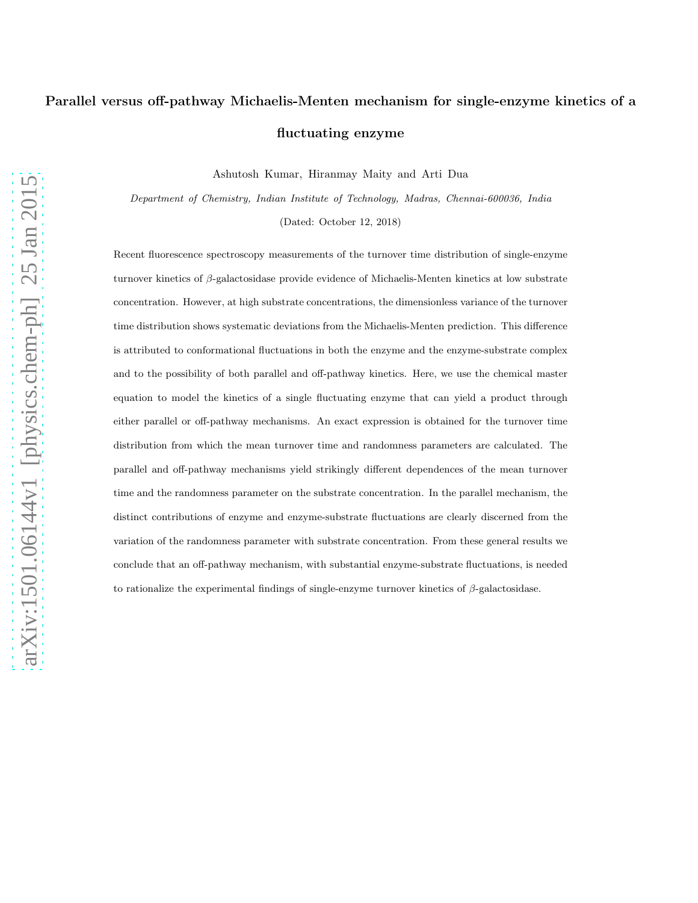# Parallel versus off-pathway Michaelis-Menten mechanism for single-enzyme kinetics of a fluctuating enzyme

Ashutosh Kumar, Hiranmay Maity and Arti Dua

*Department of Chemistry, Indian Institute of Technology, Madras, Chennai-600036, India*

(Dated: October 12, 2018)

Recent fluorescence spectroscopy measurements of the turnover time distribution of single-enzyme turnover kinetics of β-galactosidase provide evidence of Michaelis-Menten kinetics at low substrate concentration. However, at high substrate concentrations, the dimensionless variance of the turnover time distribution shows systematic deviations from the Michaelis-Menten prediction. This difference is attributed to conformational fluctuations in both the enzyme and the enzyme-substrate complex and to the possibility of both parallel and off-pathway kinetics. Here, we use the chemical master equation to model the kinetics of a single fluctuating enzyme that can yield a product through either parallel or off-pathway mechanisms. An exact expression is obtained for the turnover time distribution from which the mean turnover time and randomness parameters are calculated. The parallel and off-pathway mechanisms yield strikingly different dependences of the mean turnover time and the randomness parameter on the substrate concentration. In the parallel mechanism, the distinct contributions of enzyme and enzyme-substrate fluctuations are clearly discerned from the variation of the randomness parameter with substrate concentration. From these general results we conclude that an off-pathway mechanism, with substantial enzyme-substrate fluctuations, is needed to rationalize the experimental findings of single-enzyme turnover kinetics of  $\beta$ -galactosidase.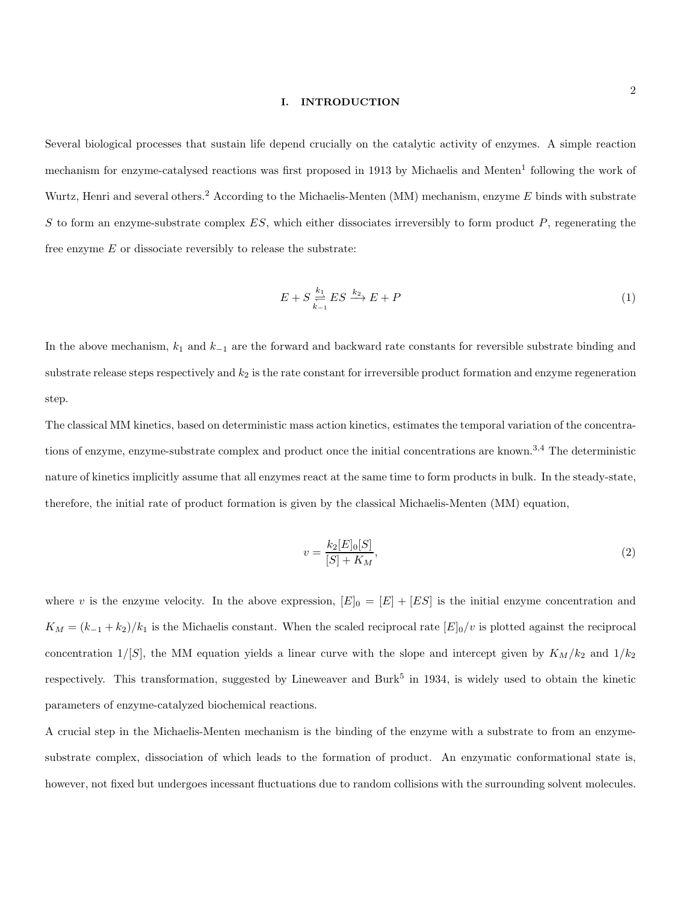## I. INTRODUCTION

Several biological processes that sustain life depend crucially on the catalytic activity of enzymes. A simple reaction mechanism for enzyme-catalysed reactions was first proposed in 1913 by Michaelis and Menten<sup>1</sup> following the work of Wurtz, Henri and several others.<sup>2</sup> According to the Michaelis-Menten (MM) mechanism, enzyme  $E$  binds with substrate S to form an enzyme-substrate complex  $ES$ , which either dissociates irreversibly to form product P, regenerating the free enzyme  $E$  or dissociate reversibly to release the substrate:

<span id="page-1-1"></span>
$$
E + S \underset{k=1}{\overset{k_1}{\rightleftharpoons}} ES \xrightarrow{k_2} E + P \tag{1}
$$

In the above mechanism,  $k_1$  and  $k_{-1}$  are the forward and backward rate constants for reversible substrate binding and substrate release steps respectively and  $k_2$  is the rate constant for irreversible product formation and enzyme regeneration step.

The classical MM kinetics, based on deterministic mass action kinetics, estimates the temporal variation of the concentrations of enzyme, enzyme-substrate complex and product once the initial concentrations are known.<sup>3,4</sup> The deterministic nature of kinetics implicitly assume that all enzymes react at the same time to form products in bulk. In the steady-state, therefore, the initial rate of product formation is given by the classical Michaelis-Menten (MM) equation,

<span id="page-1-0"></span>
$$
v = \frac{k_2[E]_0[S]}{[S] + K_M},\tag{2}
$$

where v is the enzyme velocity. In the above expression,  $[E]_0 = [E] + [ES]$  is the initial enzyme concentration and  $K_M = (k_{-1} + k_2)/k_1$  is the Michaelis constant. When the scaled reciprocal rate  $[E]_0/v$  is plotted against the reciprocal concentration  $1/[S]$ , the MM equation yields a linear curve with the slope and intercept given by  $K_M/k_2$  and  $1/k_2$ respectively. This transformation, suggested by Lineweaver and Burk<sup>5</sup> in 1934, is widely used to obtain the kinetic parameters of enzyme-catalyzed biochemical reactions.

A crucial step in the Michaelis-Menten mechanism is the binding of the enzyme with a substrate to from an enzymesubstrate complex, dissociation of which leads to the formation of product. An enzymatic conformational state is, however, not fixed but undergoes incessant fluctuations due to random collisions with the surrounding solvent molecules.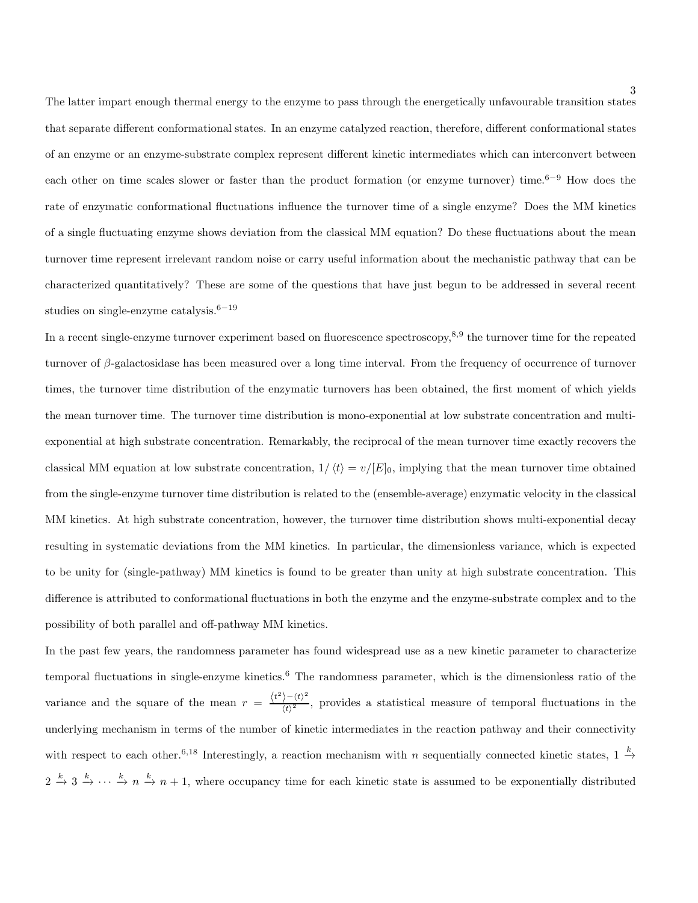3

The latter impart enough thermal energy to the enzyme to pass through the energetically unfavourable transition states that separate different conformational states. In an enzyme catalyzed reaction, therefore, different conformational states of an enzyme or an enzyme-substrate complex represent different kinetic intermediates which can interconvert between each other on time scales slower or faster than the product formation (or enzyme turnover) time.<sup>6−9</sup> How does the rate of enzymatic conformational fluctuations influence the turnover time of a single enzyme? Does the MM kinetics of a single fluctuating enzyme shows deviation from the classical MM equation? Do these fluctuations about the mean turnover time represent irrelevant random noise or carry useful information about the mechanistic pathway that can be characterized quantitatively? These are some of the questions that have just begun to be addressed in several recent studies on single-enzyme catalysis.<sup>6−19</sup>

In a recent single-enzyme turnover experiment based on fluorescence spectroscopy,<sup>8,9</sup> the turnover time for the repeated turnover of  $\beta$ -galactosidase has been measured over a long time interval. From the frequency of occurrence of turnover times, the turnover time distribution of the enzymatic turnovers has been obtained, the first moment of which yields the mean turnover time. The turnover time distribution is mono-exponential at low substrate concentration and multiexponential at high substrate concentration. Remarkably, the reciprocal of the mean turnover time exactly recovers the classical MM equation at low substrate concentration,  $1/\langle t \rangle = v/[E]_0$ , implying that the mean turnover time obtained from the single-enzyme turnover time distribution is related to the (ensemble-average) enzymatic velocity in the classical MM kinetics. At high substrate concentration, however, the turnover time distribution shows multi-exponential decay resulting in systematic deviations from the MM kinetics. In particular, the dimensionless variance, which is expected to be unity for (single-pathway) MM kinetics is found to be greater than unity at high substrate concentration. This difference is attributed to conformational fluctuations in both the enzyme and the enzyme-substrate complex and to the possibility of both parallel and off-pathway MM kinetics.

In the past few years, the randomness parameter has found widespread use as a new kinetic parameter to characterize temporal fluctuations in single-enzyme kinetics.<sup>6</sup> The randomness parameter, which is the dimensionless ratio of the variance and the square of the mean  $r = \frac{\langle t^2 \rangle - \langle t \rangle^2}{\langle t \rangle^2}$  $\frac{1}{(t)^2}$ , provides a statistical measure of temporal fluctuations in the underlying mechanism in terms of the number of kinetic intermediates in the reaction pathway and their connectivity with respect to each other.<sup>6,18</sup> Interestingly, a reaction mechanism with n sequentially connected kinetic states,  $1 \stackrel{k}{\rightarrow}$  $2 \stackrel{k}{\rightarrow} 3 \stackrel{k}{\rightarrow} \cdots \stackrel{k}{\rightarrow} n \stackrel{k}{\rightarrow} n+1$ , where occupancy time for each kinetic state is assumed to be exponentially distributed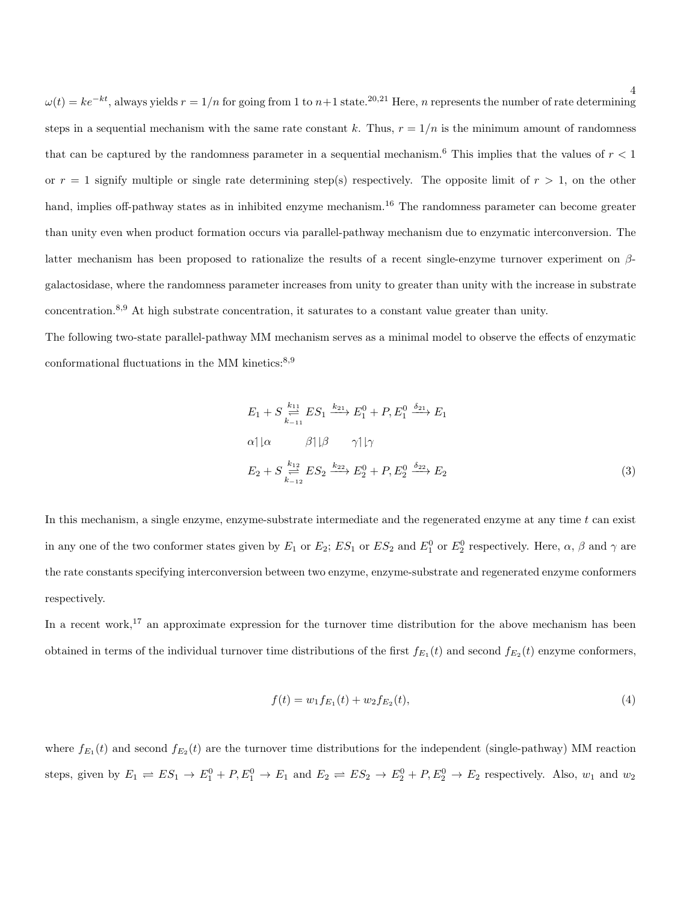$\omega(t) = ke^{-kt}$ , always yields  $r = 1/n$  for going from 1 to  $n+1$  state.<sup>20,21</sup> Here, n represents the number of rate determining steps in a sequential mechanism with the same rate constant k. Thus,  $r = 1/n$  is the minimum amount of randomness that can be captured by the randomness parameter in a sequential mechanism.<sup>6</sup> This implies that the values of  $r < 1$ or  $r = 1$  signify multiple or single rate determining step(s) respectively. The opposite limit of  $r > 1$ , on the other hand, implies off-pathway states as in inhibited enzyme mechanism.<sup>16</sup> The randomness parameter can become greater than unity even when product formation occurs via parallel-pathway mechanism due to enzymatic interconversion. The latter mechanism has been proposed to rationalize the results of a recent single-enzyme turnover experiment on  $\beta$ galactosidase, where the randomness parameter increases from unity to greater than unity with the increase in substrate concentration.8,<sup>9</sup> At high substrate concentration, it saturates to a constant value greater than unity.

The following two-state parallel-pathway MM mechanism serves as a minimal model to observe the effects of enzymatic conformational fluctuations in the MM kinetics: $8,9$ 

<span id="page-3-0"></span>
$$
E_1 + S \underset{k=11}{\overset{k_{11}}{\underset{k=11}{\sum}} E S_1} \xrightarrow{k_{21}} E_1^0 + P, E_1^0 \xrightarrow{\delta_{21}} E_1
$$
  
\n
$$
\alpha \mid |\alpha \qquad \beta| |\beta \qquad \gamma| |\gamma
$$
  
\n
$$
E_2 + S \underset{k=12}{\overset{k_{12}}{\underset{k=12}{\sum}} E S_2} \xrightarrow{k_{22}} E_2^0 + P, E_2^0 \xrightarrow{\delta_{22}} E_2
$$
 (3)

In this mechanism, a single enzyme, enzyme-substrate intermediate and the regenerated enzyme at any time t can exist in any one of the two conformer states given by  $E_1$  or  $E_2$ ;  $ES_1$  or  $ES_2$  and  $E_1^0$  or  $E_2^0$  respectively. Here,  $\alpha$ ,  $\beta$  and  $\gamma$  are the rate constants specifying interconversion between two enzyme, enzyme-substrate and regenerated enzyme conformers respectively.

In a recent work,<sup>17</sup> an approximate expression for the turnover time distribution for the above mechanism has been obtained in terms of the individual turnover time distributions of the first  $f_{E_1}(t)$  and second  $f_{E_2}(t)$  enzyme conformers,

$$
f(t) = w_1 f_{E_1}(t) + w_2 f_{E_2}(t),
$$
\n(4)

where  $f_{E_1}(t)$  and second  $f_{E_2}(t)$  are the turnover time distributions for the independent (single-pathway) MM reaction steps, given by  $E_1 \rightleftharpoons ES_1 \rightarrow E_1^0 + P, E_1^0 \rightarrow E_1$  and  $E_2 \rightleftharpoons ES_2 \rightarrow E_2^0 + P, E_2^0 \rightarrow E_2$  respectively. Also,  $w_1$  and  $w_2$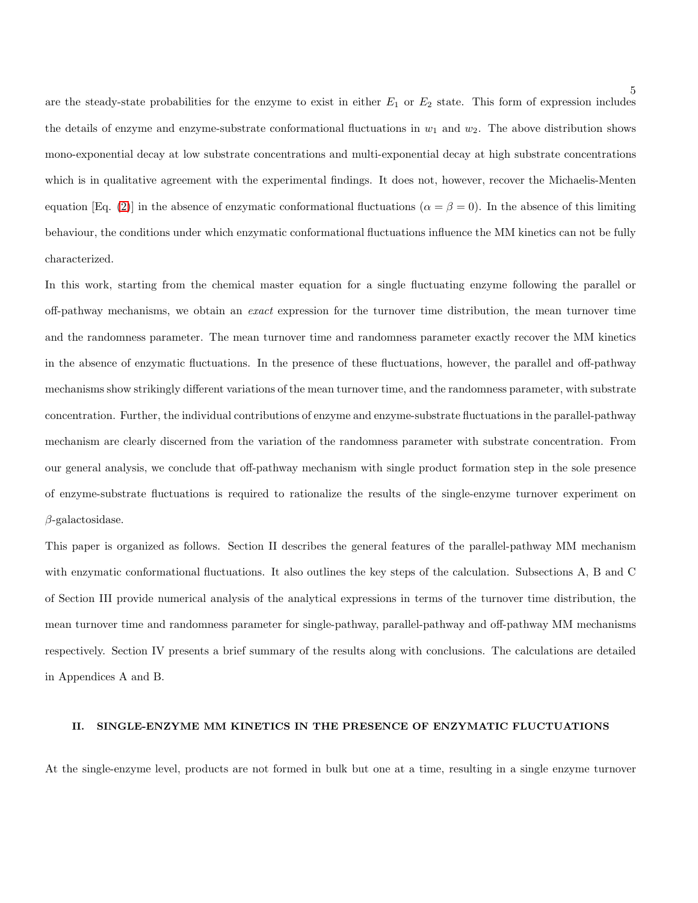are the steady-state probabilities for the enzyme to exist in either  $E_1$  or  $E_2$  state. This form of expression includes the details of enzyme and enzyme-substrate conformational fluctuations in  $w_1$  and  $w_2$ . The above distribution shows mono-exponential decay at low substrate concentrations and multi-exponential decay at high substrate concentrations which is in qualitative agreement with the experimental findings. It does not, however, recover the Michaelis-Menten equation [Eq. [\(2\)](#page-1-0)] in the absence of enzymatic conformational fluctuations ( $\alpha = \beta = 0$ ). In the absence of this limiting behaviour, the conditions under which enzymatic conformational fluctuations influence the MM kinetics can not be fully characterized.

In this work, starting from the chemical master equation for a single fluctuating enzyme following the parallel or off-pathway mechanisms, we obtain an exact expression for the turnover time distribution, the mean turnover time and the randomness parameter. The mean turnover time and randomness parameter exactly recover the MM kinetics in the absence of enzymatic fluctuations. In the presence of these fluctuations, however, the parallel and off-pathway mechanisms show strikingly different variations of the mean turnover time, and the randomness parameter, with substrate concentration. Further, the individual contributions of enzyme and enzyme-substrate fluctuations in the parallel-pathway mechanism are clearly discerned from the variation of the randomness parameter with substrate concentration. From our general analysis, we conclude that off-pathway mechanism with single product formation step in the sole presence of enzyme-substrate fluctuations is required to rationalize the results of the single-enzyme turnover experiment on  $\beta$ -galactosidase.

This paper is organized as follows. Section II describes the general features of the parallel-pathway MM mechanism with enzymatic conformational fluctuations. It also outlines the key steps of the calculation. Subsections A, B and C of Section III provide numerical analysis of the analytical expressions in terms of the turnover time distribution, the mean turnover time and randomness parameter for single-pathway, parallel-pathway and off-pathway MM mechanisms respectively. Section IV presents a brief summary of the results along with conclusions. The calculations are detailed in Appendices A and B.

## II. SINGLE-ENZYME MM KINETICS IN THE PRESENCE OF ENZYMATIC FLUCTUATIONS

At the single-enzyme level, products are not formed in bulk but one at a time, resulting in a single enzyme turnover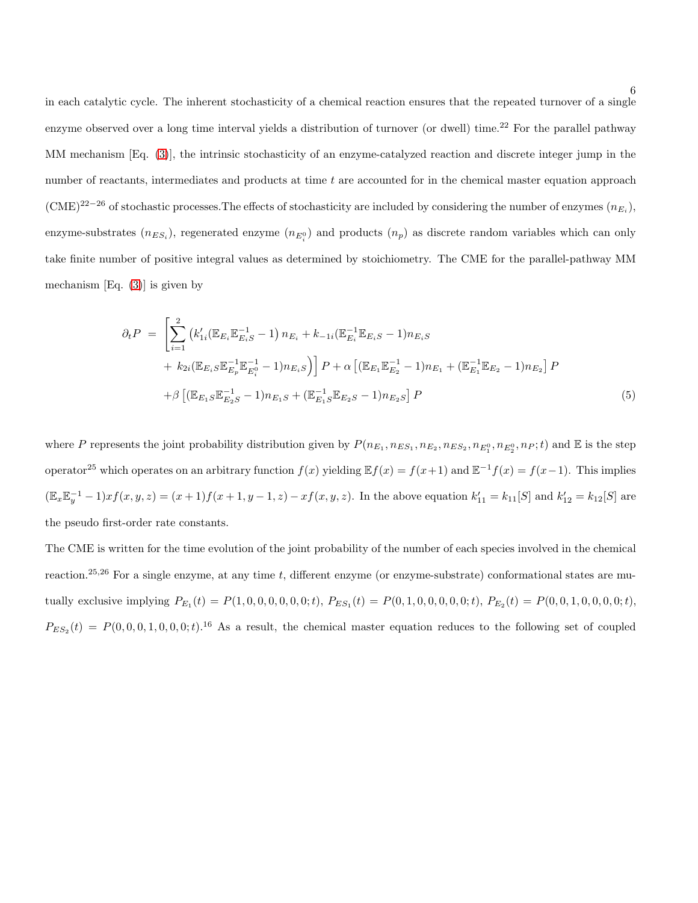in each catalytic cycle. The inherent stochasticity of a chemical reaction ensures that the repeated turnover of a single enzyme observed over a long time interval yields a distribution of turnover (or dwell) time.<sup>22</sup> For the parallel pathway MM mechanism [Eq. [\(3\)](#page-3-0)], the intrinsic stochasticity of an enzyme-catalyzed reaction and discrete integer jump in the number of reactants, intermediates and products at time  $t$  are accounted for in the chemical master equation approach  $(CME)^{22-26}$  of stochastic processes. The effects of stochasticity are included by considering the number of enzymes  $(n_{E_i})$ , enzyme-substrates  $(n_{ES_i})$ , regenerated enzyme  $(n_{E_i^0})$  and products  $(n_p)$  as discrete random variables which can only take finite number of positive integral values as determined by stoichiometry. The CME for the parallel-pathway MM mechanism  $|Eq. (3)|$  $|Eq. (3)|$  $|Eq. (3)|$  is given by

$$
\partial_t P = \left[ \sum_{i=1}^2 \left( k'_{1i} (\mathbb{E}_{E_i} \mathbb{E}_{E_i S}^{-1} - 1) n_{E_i} + k_{-1i} (\mathbb{E}_{E_i}^{-1} \mathbb{E}_{E_i S} - 1) n_{E_i S} + k_{2i} (\mathbb{E}_{E_i S} \mathbb{E}_{E_p}^{-1} \mathbb{E}_{E_i}^{-1} - 1) n_{E_i S} \right) \right] P + \alpha \left[ (\mathbb{E}_{E_1} \mathbb{E}_{E_2}^{-1} - 1) n_{E_1} + (\mathbb{E}_{E_1}^{-1} \mathbb{E}_{E_2} - 1) n_{E_2} \right] P
$$
  
+  $\beta \left[ (\mathbb{E}_{E_1 S} \mathbb{E}_{E_2 S}^{-1} - 1) n_{E_1 S} + (\mathbb{E}_{E_1 S}^{-1} \mathbb{E}_{E_2 S} - 1) n_{E_2 S} \right] P$  (5)

where P represents the joint probability distribution given by  $P(n_{E_1}, n_{ES_1}, n_{ES_1}, n_{ES_2}, n_{ES_2}, n_{E_1^0}, n_{E_2^0}, n_P; t)$  and E is the step operator<sup>25</sup> which operates on an arbitrary function  $f(x)$  yielding  $\mathbb{E}f(x) = f(x+1)$  and  $\mathbb{E}^{-1}f(x) = f(x-1)$ . This implies  $(\mathbb{E}_x \mathbb{E}_y^{-1} - 1)xf(x, y, z) = (x + 1)f(x + 1, y - 1, z) - xf(x, y, z)$ . In the above equation  $k'_{11} = k_{11}[S]$  and  $k'_{12} = k_{12}[S]$  are the pseudo first-order rate constants.

The CME is written for the time evolution of the joint probability of the number of each species involved in the chemical reaction.<sup>25,26</sup> For a single enzyme, at any time t, different enzyme (or enzyme-substrate) conformational states are mutually exclusive implying  $P_{E_1}(t) = P(1, 0, 0, 0, 0, 0, t)$ ,  $P_{ES_1}(t) = P(0, 1, 0, 0, 0, 0, t)$ ,  $P_{E_2}(t) = P(0, 0, 1, 0, 0, 0, 0, t)$ ,  $P_{ES_2}(t) = P(0, 0, 0, 1, 0, 0, 0; t)$ <sup>16</sup> As a result, the chemical master equation reduces to the following set of coupled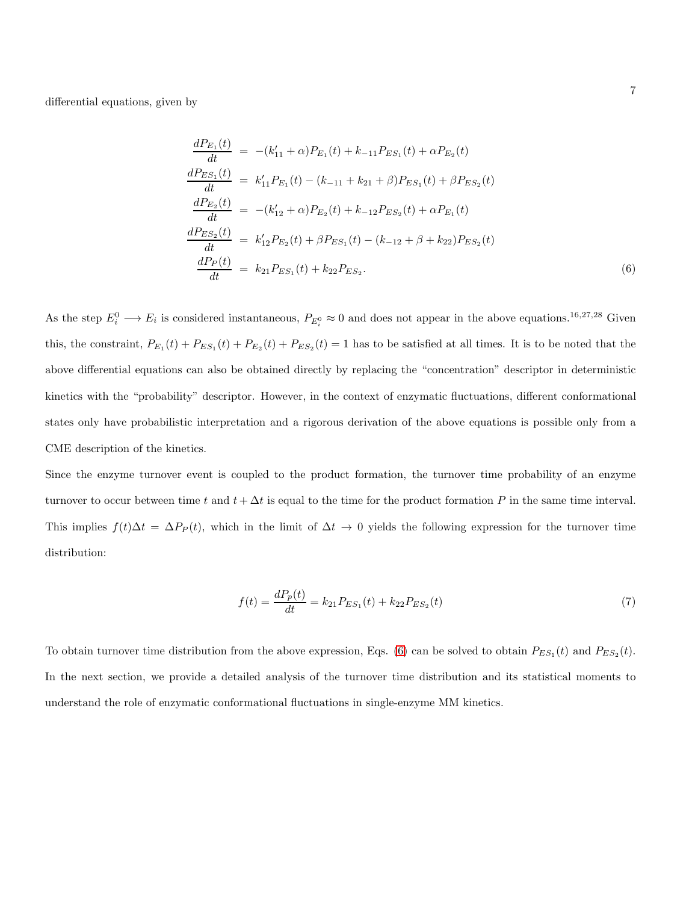differential equations, given by

<span id="page-6-0"></span>
$$
\frac{dP_{E_1}(t)}{dt} = -(k'_{11} + \alpha)P_{E_1}(t) + k_{-11}P_{ES_1}(t) + \alpha P_{E_2}(t)
$$
\n
$$
\frac{dP_{ES_1}(t)}{dt} = k'_{11}P_{E_1}(t) - (k_{-11} + k_{21} + \beta)P_{ES_1}(t) + \beta P_{ES_2}(t)
$$
\n
$$
\frac{dP_{E_2}(t)}{dt} = -(k'_{12} + \alpha)P_{E_2}(t) + k_{-12}P_{ES_2}(t) + \alpha P_{E_1}(t)
$$
\n
$$
\frac{dP_{ES_2}(t)}{dt} = k'_{12}P_{E_2}(t) + \beta P_{ES_1}(t) - (k_{-12} + \beta + k_{22})P_{ES_2}(t)
$$
\n
$$
\frac{dP_P(t)}{dt} = k_{21}P_{ES_1}(t) + k_{22}P_{ES_2}.
$$
\n(6)

As the step  $E_i^0 \to E_i$  is considered instantaneous,  $P_{E_i^0} \approx 0$  and does not appear in the above equations.<sup>16,27,28</sup> Given this, the constraint,  $P_{E_1}(t) + P_{ES_1}(t) + P_{E_2}(t) + P_{ES_2}(t) = 1$  has to be satisfied at all times. It is to be noted that the above differential equations can also be obtained directly by replacing the "concentration" descriptor in deterministic kinetics with the "probability" descriptor. However, in the context of enzymatic fluctuations, different conformational states only have probabilistic interpretation and a rigorous derivation of the above equations is possible only from a CME description of the kinetics.

Since the enzyme turnover event is coupled to the product formation, the turnover time probability of an enzyme turnover to occur between time t and  $t + \Delta t$  is equal to the time for the product formation P in the same time interval. This implies  $f(t)\Delta t = \Delta P_P(t)$ , which in the limit of  $\Delta t \to 0$  yields the following expression for the turnover time distribution:

<span id="page-6-1"></span>
$$
f(t) = \frac{dP_p(t)}{dt} = k_{21}P_{ES_1}(t) + k_{22}P_{ES_2}(t)
$$
\n(7)

To obtain turnover time distribution from the above expression, Eqs. [\(6\)](#page-6-0) can be solved to obtain  $P_{ES_1}(t)$  and  $P_{ES_2}(t)$ . In the next section, we provide a detailed analysis of the turnover time distribution and its statistical moments to understand the role of enzymatic conformational fluctuations in single-enzyme MM kinetics.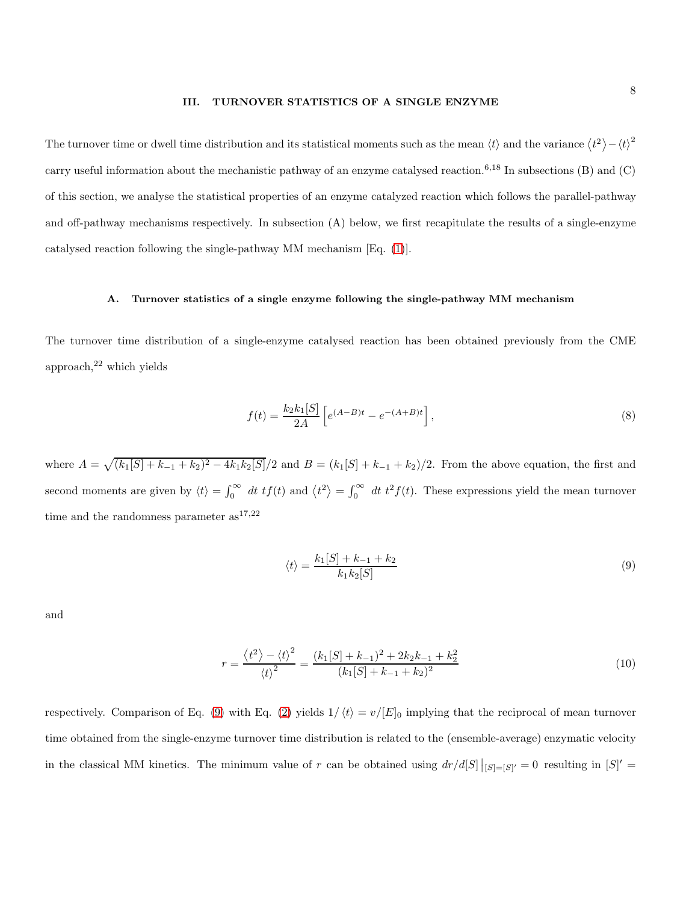## III. TURNOVER STATISTICS OF A SINGLE ENZYME

The turnover time or dwell time distribution and its statistical moments such as the mean  $\langle t \rangle$  and the variance  $\langle t^2 \rangle - {\langle t \rangle}^2$ carry useful information about the mechanistic pathway of an enzyme catalysed reaction.<sup>6,18</sup> In subsections  $(B)$  and  $(C)$ of this section, we analyse the statistical properties of an enzyme catalyzed reaction which follows the parallel-pathway and off-pathway mechanisms respectively. In subsection (A) below, we first recapitulate the results of a single-enzyme catalysed reaction following the single-pathway MM mechanism [Eq. [\(1\)](#page-1-1)].

## A. Turnover statistics of a single enzyme following the single-pathway MM mechanism

The turnover time distribution of a single-enzyme catalysed reaction has been obtained previously from the CME approach, $2^2$  which yields

<span id="page-7-1"></span>
$$
f(t) = \frac{k_2 k_1[S]}{2A} \left[ e^{(A-B)t} - e^{-(A+B)t} \right],
$$
\n(8)

where  $A = \sqrt{(k_1[S] + k_{-1} + k_2)^2 - 4k_1k_2[S]}/2$  and  $B = (k_1[S] + k_{-1} + k_2)/2$ . From the above equation, the first and second moments are given by  $\langle t \rangle = \int_0^\infty dt \ t f(t)$  and  $\langle t^2 \rangle = \int_0^\infty dt \ t^2 f(t)$ . These expressions yield the mean turnover time and the randomness parameter  $as^{17,22}$ 

<span id="page-7-0"></span>
$$
\langle t \rangle = \frac{k_1[S] + k_{-1} + k_2}{k_1 k_2[S]} \tag{9}
$$

and

<span id="page-7-2"></span>
$$
r = \frac{\langle t^2 \rangle - \langle t \rangle^2}{\langle t \rangle^2} = \frac{(k_1[S] + k_{-1})^2 + 2k_2k_{-1} + k_2^2}{(k_1[S] + k_{-1} + k_2)^2}
$$
(10)

respectively. Comparison of Eq. [\(9\)](#page-7-0) with Eq. [\(2\)](#page-1-0) yields  $1/\langle t \rangle = v/[E]_0$  implying that the reciprocal of mean turnover time obtained from the single-enzyme turnover time distribution is related to the (ensemble-average) enzymatic velocity in the classical MM kinetics. The minimum value of r can be obtained using  $dr/d[S] |_{[S]=[S]'} = 0$  resulting in  $[S]' =$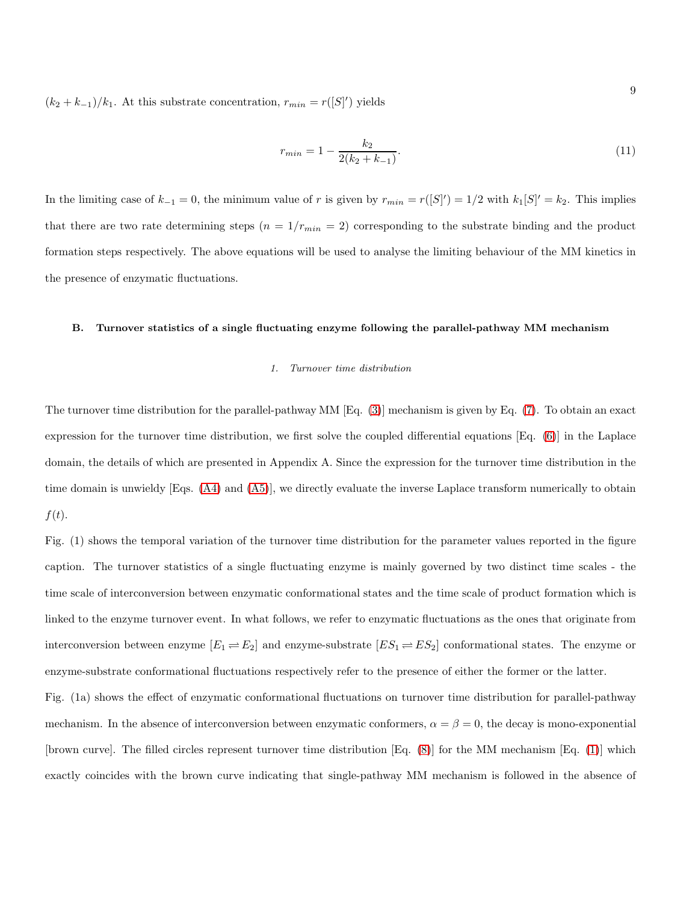$(k_2 + k_{-1})/k_1$ . At this substrate concentration,  $r_{min} = r([S]')$  yields

<span id="page-8-0"></span>
$$
r_{min} = 1 - \frac{k_2}{2(k_2 + k_{-1})}.\tag{11}
$$

In the limiting case of  $k_{-1} = 0$ , the minimum value of r is given by  $r_{min} = r([S]') = 1/2$  with  $k_1[S]' = k_2$ . This implies that there are two rate determining steps  $(n = 1/r_{min} = 2)$  corresponding to the substrate binding and the product formation steps respectively. The above equations will be used to analyse the limiting behaviour of the MM kinetics in the presence of enzymatic fluctuations.

## B. Turnover statistics of a single fluctuating enzyme following the parallel-pathway MM mechanism

## *1. Turnover time distribution*

The turnover time distribution for the parallel-pathway MM [Eq. [\(3\)](#page-3-0)] mechanism is given by Eq. [\(7\)](#page-6-1). To obtain an exact expression for the turnover time distribution, we first solve the coupled differential equations [Eq. [\(6\)](#page-6-0)] in the Laplace domain, the details of which are presented in Appendix A. Since the expression for the turnover time distribution in the time domain is unwieldy [Eqs. [\(A4\)](#page-24-0) and [\(A5\)](#page-24-1)], we directly evaluate the inverse Laplace transform numerically to obtain  $f(t)$ .

Fig. (1) shows the temporal variation of the turnover time distribution for the parameter values reported in the figure caption. The turnover statistics of a single fluctuating enzyme is mainly governed by two distinct time scales - the time scale of interconversion between enzymatic conformational states and the time scale of product formation which is linked to the enzyme turnover event. In what follows, we refer to enzymatic fluctuations as the ones that originate from interconversion between enzyme  $[E_1 \rightleftharpoons E_2]$  and enzyme-substrate  $[ES_1 \rightleftharpoons ES_2]$  conformational states. The enzyme or enzyme-substrate conformational fluctuations respectively refer to the presence of either the former or the latter.

Fig. (1a) shows the effect of enzymatic conformational fluctuations on turnover time distribution for parallel-pathway mechanism. In the absence of interconversion between enzymatic conformers,  $\alpha = \beta = 0$ , the decay is mono-exponential [brown curve]. The filled circles represent turnover time distribution [Eq. [\(8\)](#page-7-1)] for the MM mechanism [Eq. [\(1\)](#page-1-1)] which exactly coincides with the brown curve indicating that single-pathway MM mechanism is followed in the absence of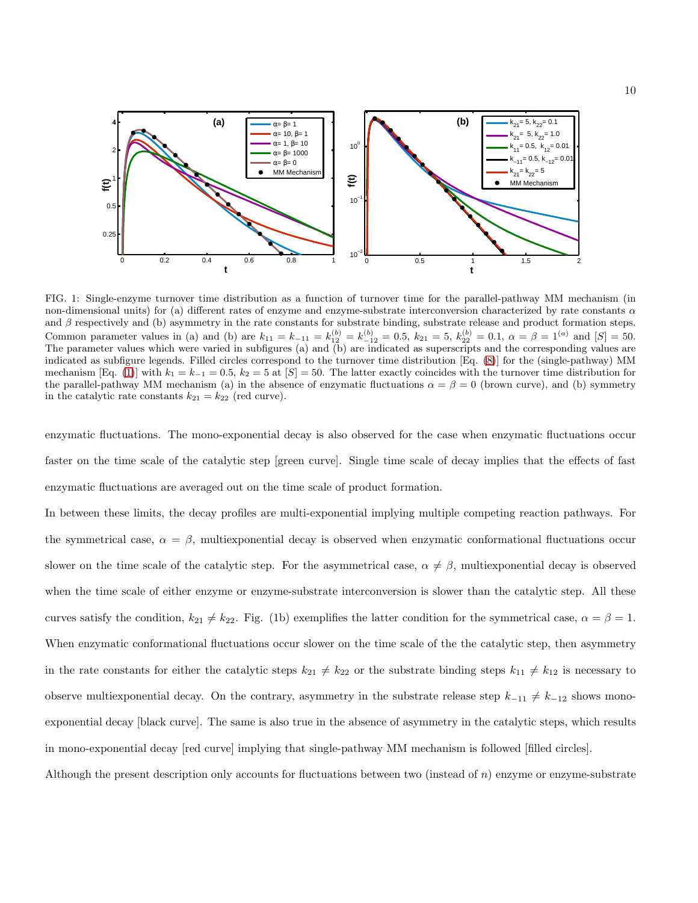

FIG. 1: Single-enzyme turnover time distribution as a function of turnover time for the parallel-pathway MM mechanism (in non-dimensional units) for (a) different rates of enzyme and enzyme-substrate interconversion characterized by rate constants  $\alpha$ and  $\beta$  respectively and (b) asymmetry in the rate constants for substrate binding, substrate release and product formation steps. Common parameter values in (a) and (b) are  $k_{11} = k_{-11} = k_{12}^{(b)} = k_{-12}^{(b)} = 0.5$ ,  $k_{21} = 5$ ,  $k_{22}^{(b)} = 0.1$ ,  $\alpha = \beta = 1^{(a)}$  and  $[S] = 50$ . The parameter values which were varied in subfigures (a) and (b) are indicated as superscripts and the corresponding values are indicated as subfigure legends. Filled circles correspond to the turnover time distribution [Eq. [\(8\)](#page-7-1)] for the (single-pathway) MM mechanism [Eq. [\(1\)](#page-1-1)] with  $k_1 = k_{-1} = 0.5$ ,  $k_2 = 5$  at [S] = 50. The latter exactly coincides with the turnover time distribution for the parallel-pathway MM mechanism (a) in the absence of enzymatic fluctuations  $\alpha = \beta = 0$  (brown curve), and (b) symmetry in the catalytic rate constants  $k_{21} = k_{22}$  (red curve).

enzymatic fluctuations. The mono-exponential decay is also observed for the case when enzymatic fluctuations occur faster on the time scale of the catalytic step [green curve]. Single time scale of decay implies that the effects of fast enzymatic fluctuations are averaged out on the time scale of product formation.

In between these limits, the decay profiles are multi-exponential implying multiple competing reaction pathways. For the symmetrical case,  $\alpha = \beta$ , multiexponential decay is observed when enzymatic conformational fluctuations occur slower on the time scale of the catalytic step. For the asymmetrical case,  $\alpha \neq \beta$ , multiexponential decay is observed when the time scale of either enzyme or enzyme-substrate interconversion is slower than the catalytic step. All these curves satisfy the condition,  $k_{21} \neq k_{22}$ . Fig. (1b) exemplifies the latter condition for the symmetrical case,  $\alpha = \beta = 1$ . When enzymatic conformational fluctuations occur slower on the time scale of the the catalytic step, then asymmetry in the rate constants for either the catalytic steps  $k_{21} \neq k_{22}$  or the substrate binding steps  $k_{11} \neq k_{12}$  is necessary to observe multiexponential decay. On the contrary, asymmetry in the substrate release step  $k_{-11} \neq k_{-12}$  shows monoexponential decay [black curve]. The same is also true in the absence of asymmetry in the catalytic steps, which results in mono-exponential decay [red curve] implying that single-pathway MM mechanism is followed [filled circles].

Although the present description only accounts for fluctuations between two (instead of  $n$ ) enzyme or enzyme-substrate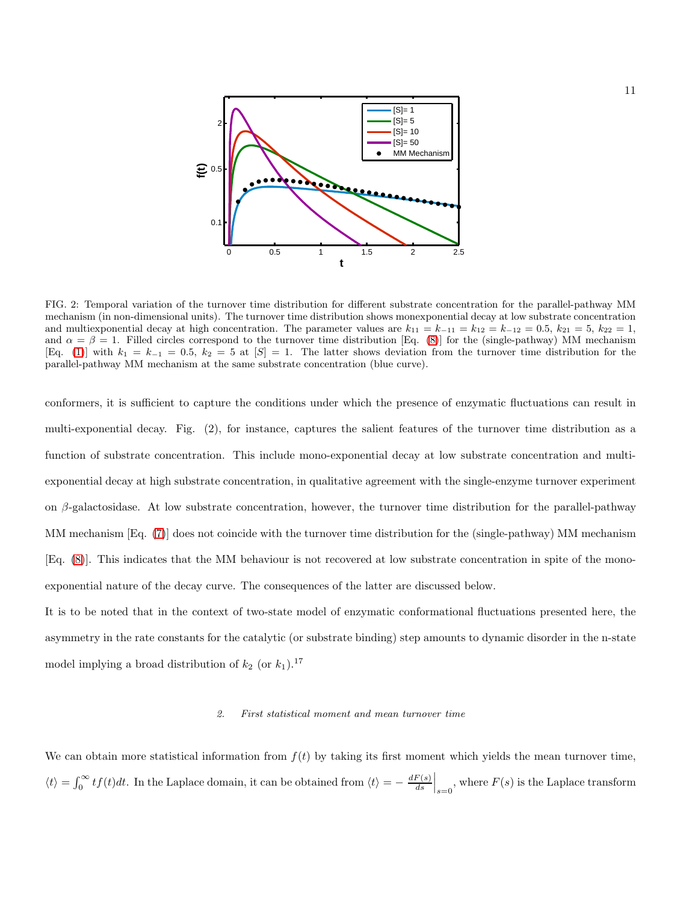

FIG. 2: Temporal variation of the turnover time distribution for different substrate concentration for the parallel-pathway MM mechanism (in non-dimensional units). The turnover time distribution shows monexponential decay at low substrate concentration and multiexponential decay at high concentration. The parameter values are  $k_{11} = k_{-11} = k_{12} = k_{-12} = 0.5$ ,  $k_{21} = 5$ ,  $k_{22} = 1$ , and  $\alpha = \beta = 1$ . Filled circles correspond to the turnover time distribution [Eq. [\(8\)](#page-7-1)] for the (single-pathway) MM mechanism [Eq. [\(1\)](#page-1-1)] with  $k_1 = k_{-1} = 0.5$ ,  $k_2 = 5$  at  $[S] = 1$ . The latter shows deviation from the turnover time distribution for the parallel-pathway MM mechanism at the same substrate concentration (blue curve).

conformers, it is sufficient to capture the conditions under which the presence of enzymatic fluctuations can result in multi-exponential decay. Fig. (2), for instance, captures the salient features of the turnover time distribution as a function of substrate concentration. This include mono-exponential decay at low substrate concentration and multiexponential decay at high substrate concentration, in qualitative agreement with the single-enzyme turnover experiment on  $\beta$ -galactosidase. At low substrate concentration, however, the turnover time distribution for the parallel-pathway MM mechanism [Eq. [\(7\)](#page-6-1)] does not coincide with the turnover time distribution for the (single-pathway) MM mechanism [Eq. [\(8\)](#page-7-1)]. This indicates that the MM behaviour is not recovered at low substrate concentration in spite of the monoexponential nature of the decay curve. The consequences of the latter are discussed below.

It is to be noted that in the context of two-state model of enzymatic conformational fluctuations presented here, the asymmetry in the rate constants for the catalytic (or substrate binding) step amounts to dynamic disorder in the n-state model implying a broad distribution of  $k_2$  (or  $k_1$ ).<sup>17</sup>

## *2. First statistical moment and mean turnover time*

We can obtain more statistical information from  $f(t)$  by taking its first moment which yields the mean turnover time,  $\langle t \rangle = \int_0^\infty t f(t) dt$ . In the Laplace domain, it can be obtained from  $\langle t \rangle = -\frac{dF(s)}{ds}$  $\left. \frac{F(s)}{ds} \right|_{s=0}$ , where  $F(s)$  is the Laplace transform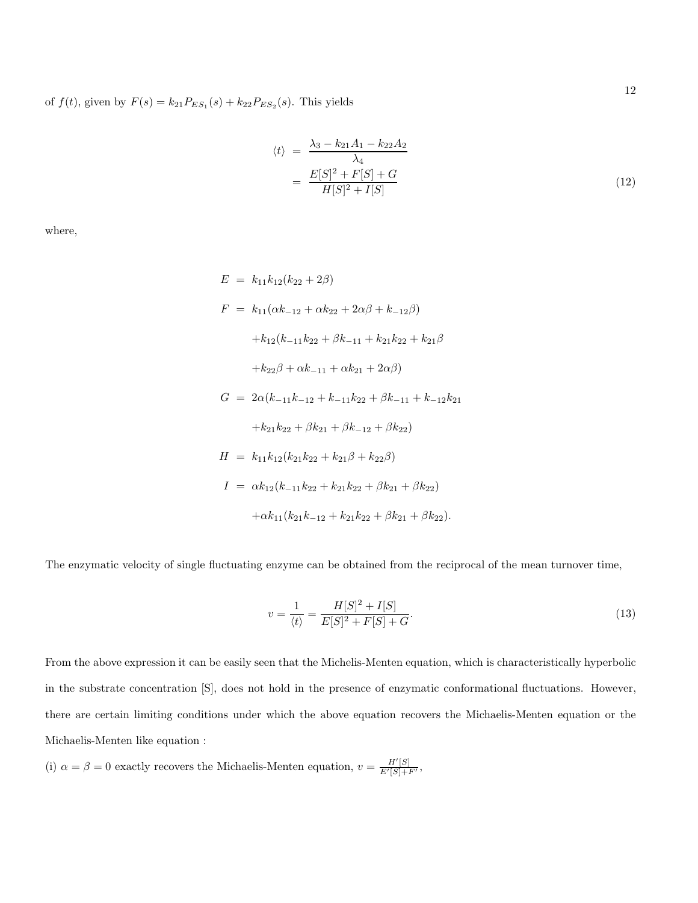of  $f(t)$ , given by  $F(s) = k_{21} P_{ES_1}(s) + k_{22} P_{ES_2}(s)$ . This yields

<span id="page-11-0"></span>
$$
\langle t \rangle = \frac{\lambda_3 - k_{21}A_1 - k_{22}A_2}{\lambda_4} \n= \frac{E[S]^2 + F[S] + G}{H[S]^2 + I[S]} \tag{12}
$$

where,

$$
E = k_{11}k_{12}(k_{22} + 2\beta)
$$
  
\n
$$
F = k_{11}(\alpha k_{-12} + \alpha k_{22} + 2\alpha\beta + k_{-12}\beta)
$$
  
\n
$$
+ k_{12}(k_{-11}k_{22} + \beta k_{-11} + k_{21}k_{22} + k_{21}\beta
$$
  
\n
$$
+ k_{22}\beta + \alpha k_{-11} + \alpha k_{21} + 2\alpha\beta)
$$
  
\n
$$
G = 2\alpha(k_{-11}k_{-12} + k_{-11}k_{22} + \beta k_{-11} + k_{-12}k_{21}
$$
  
\n
$$
+ k_{21}k_{22} + \beta k_{21} + \beta k_{-12} + \beta k_{22})
$$
  
\n
$$
H = k_{11}k_{12}(k_{21}k_{22} + k_{21}\beta + k_{22}\beta)
$$
  
\n
$$
I = \alpha k_{12}(k_{-11}k_{22} + k_{21}k_{22} + \beta k_{21} + \beta k_{22})
$$
  
\n
$$
+ \alpha k_{11}(k_{21}k_{-12} + k_{21}k_{22} + \beta k_{21} + \beta k_{22}).
$$

The enzymatic velocity of single fluctuating enzyme can be obtained from the reciprocal of the mean turnover time,

$$
v = \frac{1}{\langle t \rangle} = \frac{H[S]^2 + I[S]}{E[S]^2 + F[S] + G}.
$$
\n(13)

From the above expression it can be easily seen that the Michelis-Menten equation, which is characteristically hyperbolic in the substrate concentration [S], does not hold in the presence of enzymatic conformational fluctuations. However, there are certain limiting conditions under which the above equation recovers the Michaelis-Menten equation or the Michaelis-Menten like equation :

(i)  $\alpha = \beta = 0$  exactly recovers the Michaelis-Menten equation,  $v = \frac{H'[S]}{E'[S]+F'}$ ,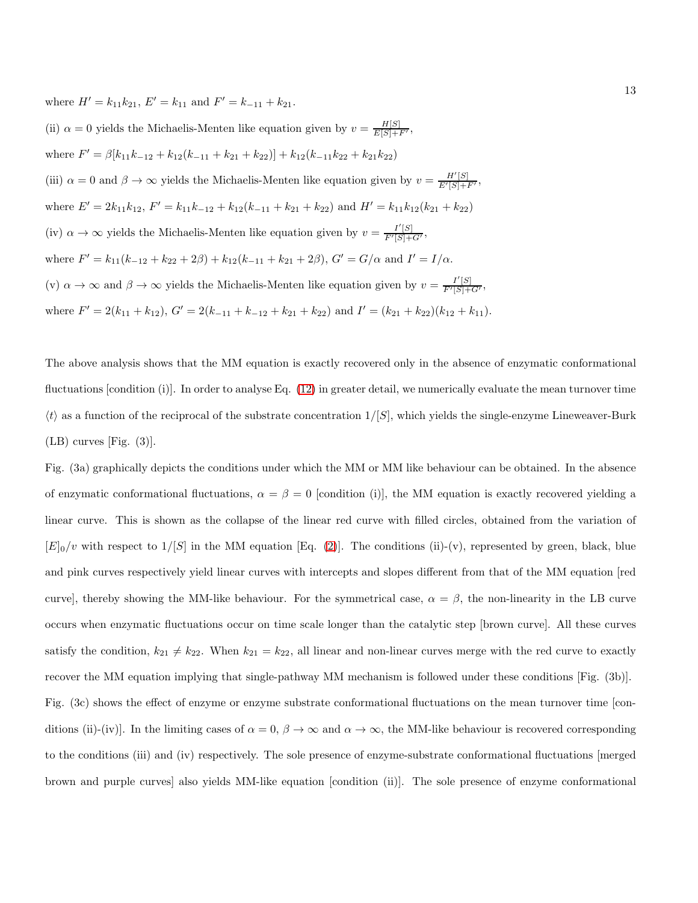where  $H' = k_{11}k_{21}$ ,  $E' = k_{11}$  and  $F' = k_{-11} + k_{21}$ .

(ii)  $\alpha = 0$  yields the Michaelis-Menten like equation given by  $v = \frac{H[S]}{E[S]+F'}$ , where  $F' = \beta[k_{11}k_{-12} + k_{12}(k_{-11} + k_{21} + k_{22})] + k_{12}(k_{-11}k_{22} + k_{21}k_{22})$ (iii)  $\alpha = 0$  and  $\beta \to \infty$  yields the Michaelis-Menten like equation given by  $v = \frac{H'[S]}{E'[S]+F'}$ , where  $E' = 2k_{11}k_{12}$ ,  $F' = k_{11}k_{-12} + k_{12}(k_{-11} + k_{21} + k_{22})$  and  $H' = k_{11}k_{12}(k_{21} + k_{22})$ (iv)  $\alpha \to \infty$  yields the Michaelis-Menten like equation given by  $v = \frac{I'[S]}{F'[S]+G'}$ , where  $F' = k_{11}(k_{-12} + k_{22} + 2\beta) + k_{12}(k_{-11} + k_{21} + 2\beta), G' = G/\alpha$  and  $I' = I/\alpha$ . (v)  $\alpha \to \infty$  and  $\beta \to \infty$  yields the Michaelis-Menten like equation given by  $v = \frac{I'[S]}{F'[S]+G'}$ , where  $F' = 2(k_{11} + k_{12}), G' = 2(k_{-11} + k_{-12} + k_{21} + k_{22})$  and  $I' = (k_{21} + k_{22})(k_{12} + k_{11}).$ 

The above analysis shows that the MM equation is exactly recovered only in the absence of enzymatic conformational fluctuations [condition (i)]. In order to analyse Eq. [\(12\)](#page-11-0) in greater detail, we numerically evaluate the mean turnover time  $\langle t \rangle$  as a function of the reciprocal of the substrate concentration  $1/[S]$ , which yields the single-enzyme Lineweaver-Burk  $(LB)$  curves [Fig.  $(3)$ ].

Fig. (3a) graphically depicts the conditions under which the MM or MM like behaviour can be obtained. In the absence of enzymatic conformational fluctuations,  $\alpha = \beta = 0$  [condition (i)], the MM equation is exactly recovered yielding a linear curve. This is shown as the collapse of the linear red curve with filled circles, obtained from the variation of  $[E]_0/v$  with respect to  $1/[S]$  in the MM equation [Eq. [\(2\)](#page-1-0)]. The conditions (ii)-(v), represented by green, black, blue and pink curves respectively yield linear curves with intercepts and slopes different from that of the MM equation [red curve], thereby showing the MM-like behaviour. For the symmetrical case,  $\alpha = \beta$ , the non-linearity in the LB curve occurs when enzymatic fluctuations occur on time scale longer than the catalytic step [brown curve]. All these curves satisfy the condition,  $k_{21} \neq k_{22}$ . When  $k_{21} = k_{22}$ , all linear and non-linear curves merge with the red curve to exactly recover the MM equation implying that single-pathway MM mechanism is followed under these conditions [Fig. (3b)]. Fig. (3c) shows the effect of enzyme or enzyme substrate conformational fluctuations on the mean turnover time [conditions (ii)-(iv)]. In the limiting cases of  $\alpha = 0$ ,  $\beta \to \infty$  and  $\alpha \to \infty$ , the MM-like behaviour is recovered corresponding to the conditions (iii) and (iv) respectively. The sole presence of enzyme-substrate conformational fluctuations [merged brown and purple curves] also yields MM-like equation [condition (ii)]. The sole presence of enzyme conformational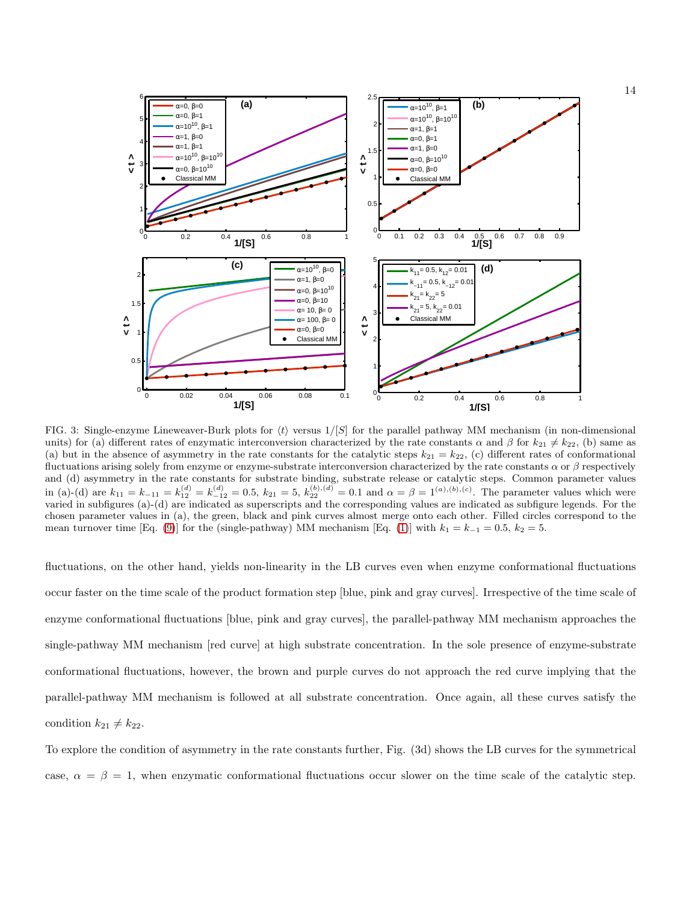

FIG. 3: Single-enzyme Lineweaver-Burk plots for  $\langle t \rangle$  versus  $1/[S]$  for the parallel pathway MM mechanism (in non-dimensional units) for (a) different rates of enzymatic interconversion characterized by the rate constants  $\alpha$  and  $\beta$  for  $k_{21} \neq k_{22}$ , (b) same as (a) but in the absence of asymmetry in the rate constants for the catalytic steps  $k_{21} = k_{22}$ , (c) different rates of conformational fluctuations arising solely from enzyme or enzyme-substrate interconversion characterized by the rate constants  $\alpha$  or  $\beta$  respectively and (d) asymmetry in the rate constants for substrate binding, substrate release or catalytic steps. Common parameter values in (a)-(d) are  $k_{11} = k_{-11} = k_{12}^{(d)} = k_{-12}^{(d)} = 0.5$ ,  $k_{21} = 5$ ,  $k_{22}^{(b),(d)} = 0.1$  and  $\alpha = \beta = 1^{(a),(b),(c)}$ . The parameter values which were varied in subfigures (a)-(d) are indicated as superscripts and the corresponding values are indicated as subfigure legends. For the chosen parameter values in (a), the green, black and pink curves almost merge onto each other. Filled circles correspond to the mean turnover time [Eq. [\(9\)](#page-7-0)] for the (single-pathway) MM mechanism [Eq. [\(1\)](#page-1-1)] with  $k_1 = k_{-1} = 0.5$ ,  $k_2 = 5$ .

fluctuations, on the other hand, yields non-linearity in the LB curves even when enzyme conformational fluctuations occur faster on the time scale of the product formation step [blue, pink and gray curves]. Irrespective of the time scale of enzyme conformational fluctuations [blue, pink and gray curves], the parallel-pathway MM mechanism approaches the single-pathway MM mechanism [red curve] at high substrate concentration. In the sole presence of enzyme-substrate conformational fluctuations, however, the brown and purple curves do not approach the red curve implying that the parallel-pathway MM mechanism is followed at all substrate concentration. Once again, all these curves satisfy the condition  $k_{21} \neq k_{22}$ .

To explore the condition of asymmetry in the rate constants further, Fig. (3d) shows the LB curves for the symmetrical case,  $\alpha = \beta = 1$ , when enzymatic conformational fluctuations occur slower on the time scale of the catalytic step.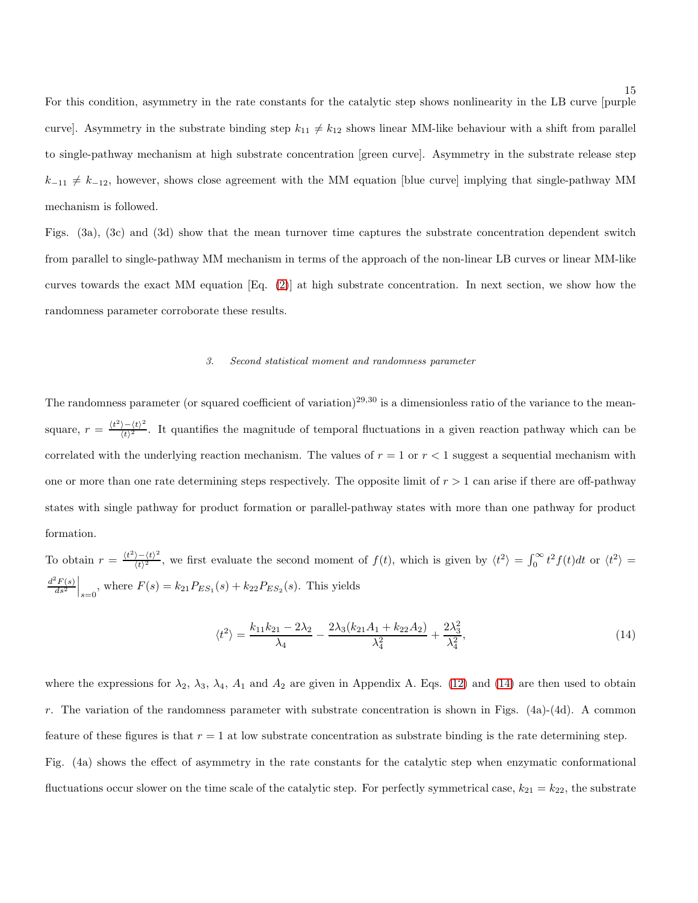For this condition, asymmetry in the rate constants for the catalytic step shows nonlinearity in the LB curve [purple curve]. Asymmetry in the substrate binding step  $k_{11} \neq k_{12}$  shows linear MM-like behaviour with a shift from parallel to single-pathway mechanism at high substrate concentration [green curve]. Asymmetry in the substrate release step  $k_{-11} \neq k_{-12}$ , however, shows close agreement with the MM equation [blue curve] implying that single-pathway MM mechanism is followed.

Figs. (3a), (3c) and (3d) show that the mean turnover time captures the substrate concentration dependent switch from parallel to single-pathway MM mechanism in terms of the approach of the non-linear LB curves or linear MM-like curves towards the exact MM equation [Eq. [\(2\)](#page-1-0)] at high substrate concentration. In next section, we show how the randomness parameter corroborate these results.

## *3. Second statistical moment and randomness parameter*

The randomness parameter (or squared coefficient of variation)<sup>29,30</sup> is a dimensionless ratio of the variance to the meansquare,  $r = \frac{\langle t^2 \rangle - \langle t \rangle^2}{\langle t \rangle^2}$  $\frac{\partial^2 (t)}{\partial t^2}$ . It quantifies the magnitude of temporal fluctuations in a given reaction pathway which can be correlated with the underlying reaction mechanism. The values of  $r = 1$  or  $r < 1$  suggest a sequential mechanism with one or more than one rate determining steps respectively. The opposite limit of  $r > 1$  can arise if there are off-pathway states with single pathway for product formation or parallel-pathway states with more than one pathway for product formation.

To obtain  $r = \frac{\langle t^2 \rangle - \langle t \rangle^2}{\langle t \rangle^2}$  $\frac{\partial^2 (t)^2}{\partial t^2}$ , we first evaluate the second moment of  $f(t)$ , which is given by  $\langle t^2 \rangle = \int_0^\infty t^2 f(t) dt$  or  $\langle t^2 \rangle =$  $d^2F(s)$  $\left. \frac{d^2 F(s)}{ds^2} \right|_{s=0}$ , where  $F(s) = k_{21} P_{ES_1}(s) + k_{22} P_{ES_2}(s)$ . This yields

<span id="page-14-0"></span>
$$
\langle t^2 \rangle = \frac{k_{11}k_{21} - 2\lambda_2}{\lambda_4} - \frac{2\lambda_3(k_{21}A_1 + k_{22}A_2)}{\lambda_4^2} + \frac{2\lambda_3^2}{\lambda_4^2},\tag{14}
$$

where the expressions for  $\lambda_2$ ,  $\lambda_3$ ,  $\lambda_4$ ,  $A_1$  and  $A_2$  are given in Appendix A. Eqs. [\(12\)](#page-11-0) and [\(14\)](#page-14-0) are then used to obtain r. The variation of the randomness parameter with substrate concentration is shown in Figs.  $(4a)-(4d)$ . A common feature of these figures is that  $r = 1$  at low substrate concentration as substrate binding is the rate determining step. Fig. (4a) shows the effect of asymmetry in the rate constants for the catalytic step when enzymatic conformational fluctuations occur slower on the time scale of the catalytic step. For perfectly symmetrical case,  $k_{21} = k_{22}$ , the substrate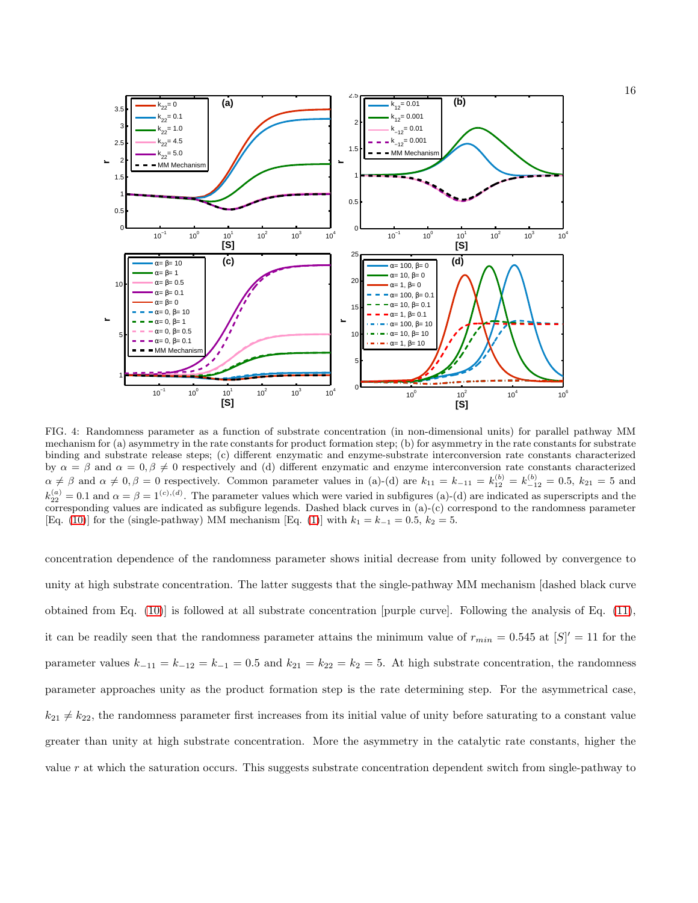

FIG. 4: Randomness parameter as a function of substrate concentration (in non-dimensional units) for parallel pathway MM mechanism for (a) asymmetry in the rate constants for product formation step; (b) for asymmetry in the rate constants for substrate binding and substrate release steps; (c) different enzymatic and enzyme-substrate interconversion rate constants characterized by  $\alpha = \beta$  and  $\alpha = 0, \beta \neq 0$  respectively and (d) different enzymatic and enzyme interconversion rate constants characterized  $\alpha \neq \beta$  and  $\alpha \neq 0, \beta = 0$  respectively. Common parameter values in (a)-(d) are  $k_{11} = k_{-11} = k_{12}^{(b)} = k_{-12}^{(b)} = 0.5$ ,  $k_{21} = 5$  and  $k_{22}^{(a)} = 0.1$  and  $\alpha = \beta = 1^{(c),(d)}$ . The parameter values which were varied in subfigures (a)-(d) are indicated as superscripts and the corresponding values are indicated as subfigure legends. Dashed black curves in (a)-(c) correspond to the randomness parameter [Eq. [\(10\)](#page-7-2)] for the (single-pathway) MM mechanism [Eq. [\(1\)](#page-1-1)] with  $k_1 = k_{-1} = 0.5$ ,  $k_2 = 5$ .

concentration dependence of the randomness parameter shows initial decrease from unity followed by convergence to unity at high substrate concentration. The latter suggests that the single-pathway MM mechanism [dashed black curve obtained from Eq. [\(10\)](#page-7-2)] is followed at all substrate concentration [purple curve]. Following the analysis of Eq. [\(11\)](#page-8-0), it can be readily seen that the randomness parameter attains the minimum value of  $r_{min} = 0.545$  at  $[S]' = 11$  for the parameter values  $k_{-11} = k_{-12} = k_{-1} = 0.5$  and  $k_{21} = k_{22} = k_2 = 5$ . At high substrate concentration, the randomness parameter approaches unity as the product formation step is the rate determining step. For the asymmetrical case,  $k_{21} \neq k_{22}$ , the randomness parameter first increases from its initial value of unity before saturating to a constant value greater than unity at high substrate concentration. More the asymmetry in the catalytic rate constants, higher the value r at which the saturation occurs. This suggests substrate concentration dependent switch from single-pathway to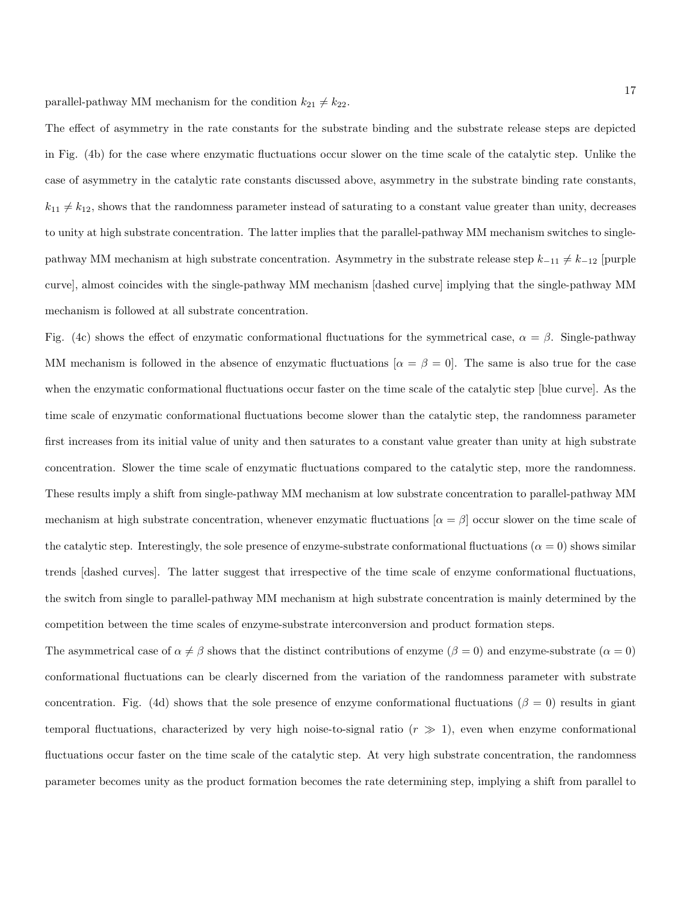The effect of asymmetry in the rate constants for the substrate binding and the substrate release steps are depicted in Fig. (4b) for the case where enzymatic fluctuations occur slower on the time scale of the catalytic step. Unlike the case of asymmetry in the catalytic rate constants discussed above, asymmetry in the substrate binding rate constants,  $k_{11} \neq k_{12}$ , shows that the randomness parameter instead of saturating to a constant value greater than unity, decreases to unity at high substrate concentration. The latter implies that the parallel-pathway MM mechanism switches to singlepathway MM mechanism at high substrate concentration. Asymmetry in the substrate release step  $k_{-11} \neq k_{-12}$  [purple curve], almost coincides with the single-pathway MM mechanism [dashed curve] implying that the single-pathway MM mechanism is followed at all substrate concentration.

Fig. (4c) shows the effect of enzymatic conformational fluctuations for the symmetrical case,  $\alpha = \beta$ . Single-pathway MM mechanism is followed in the absence of enzymatic fluctuations  $[\alpha = \beta = 0]$ . The same is also true for the case when the enzymatic conformational fluctuations occur faster on the time scale of the catalytic step [blue curve]. As the time scale of enzymatic conformational fluctuations become slower than the catalytic step, the randomness parameter first increases from its initial value of unity and then saturates to a constant value greater than unity at high substrate concentration. Slower the time scale of enzymatic fluctuations compared to the catalytic step, more the randomness. These results imply a shift from single-pathway MM mechanism at low substrate concentration to parallel-pathway MM mechanism at high substrate concentration, whenever enzymatic fluctuations  $\alpha = \beta$  occur slower on the time scale of the catalytic step. Interestingly, the sole presence of enzyme-substrate conformational fluctuations ( $\alpha = 0$ ) shows similar trends [dashed curves]. The latter suggest that irrespective of the time scale of enzyme conformational fluctuations, the switch from single to parallel-pathway MM mechanism at high substrate concentration is mainly determined by the competition between the time scales of enzyme-substrate interconversion and product formation steps.

The asymmetrical case of  $\alpha \neq \beta$  shows that the distinct contributions of enzyme ( $\beta = 0$ ) and enzyme-substrate ( $\alpha = 0$ ) conformational fluctuations can be clearly discerned from the variation of the randomness parameter with substrate concentration. Fig. (4d) shows that the sole presence of enzyme conformational fluctuations ( $\beta = 0$ ) results in giant temporal fluctuations, characterized by very high noise-to-signal ratio  $(r \gg 1)$ , even when enzyme conformational fluctuations occur faster on the time scale of the catalytic step. At very high substrate concentration, the randomness parameter becomes unity as the product formation becomes the rate determining step, implying a shift from parallel to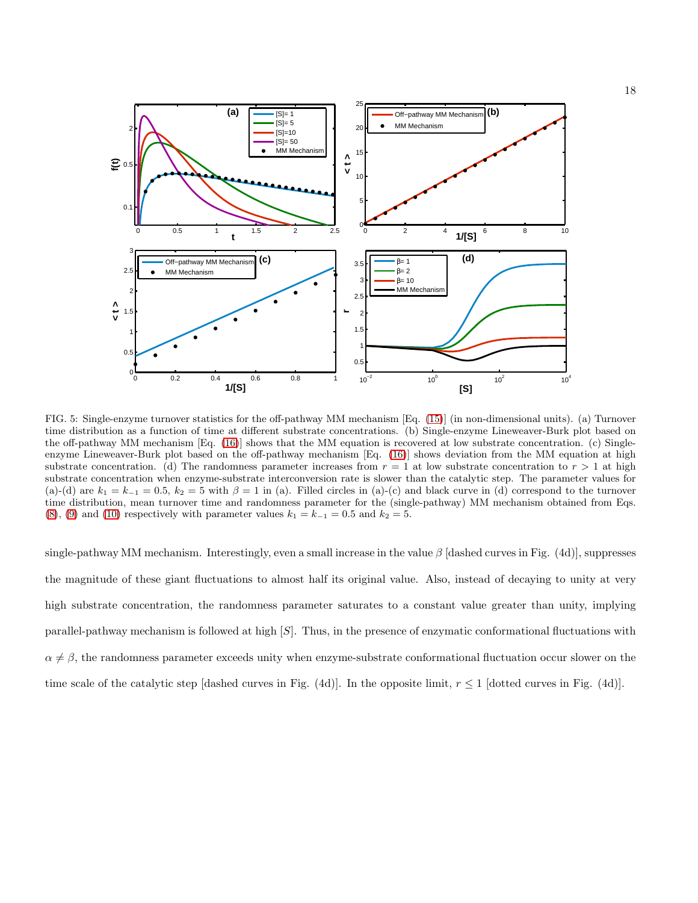

FIG. 5: Single-enzyme turnover statistics for the off-pathway MM mechanism [Eq. [\(15\)](#page-18-0)] (in non-dimensional units). (a) Turnover time distribution as a function of time at different substrate concentrations. (b) Single-enzyme Lineweaver-Burk plot based on the off-pathway MM mechanism [Eq. [\(16\)](#page-19-0)] shows that the MM equation is recovered at low substrate concentration. (c) Singleenzyme Lineweaver-Burk plot based on the off-pathway mechanism [Eq. [\(16\)](#page-19-0)] shows deviation from the MM equation at high substrate concentration. (d) The randomness parameter increases from  $r = 1$  at low substrate concentration to  $r > 1$  at high substrate concentration when enzyme-substrate interconversion rate is slower than the catalytic step. The parameter values for (a)-(d) are  $k_1 = k_{-1} = 0.5$ ,  $k_2 = 5$  with  $\beta = 1$  in (a). Filled circles in (a)-(c) and black curve in (d) correspond to the turnover time distribution, mean turnover time and randomness parameter for the (single-pathway) MM mechanism obtained from Eqs. [\(8\)](#page-7-1), [\(9\)](#page-7-0) and [\(10\)](#page-7-2) respectively with parameter values  $k_1 = k_{-1} = 0.5$  and  $k_2 = 5$ .

single-pathway MM mechanism. Interestingly, even a small increase in the value  $\beta$  [dashed curves in Fig. (4d)], suppresses the magnitude of these giant fluctuations to almost half its original value. Also, instead of decaying to unity at very high substrate concentration, the randomness parameter saturates to a constant value greater than unity, implying parallel-pathway mechanism is followed at high [S]. Thus, in the presence of enzymatic conformational fluctuations with  $\alpha \neq \beta$ , the randomness parameter exceeds unity when enzyme-substrate conformational fluctuation occur slower on the time scale of the catalytic step [dashed curves in Fig. (4d)]. In the opposite limit,  $r \leq 1$  [dotted curves in Fig. (4d)].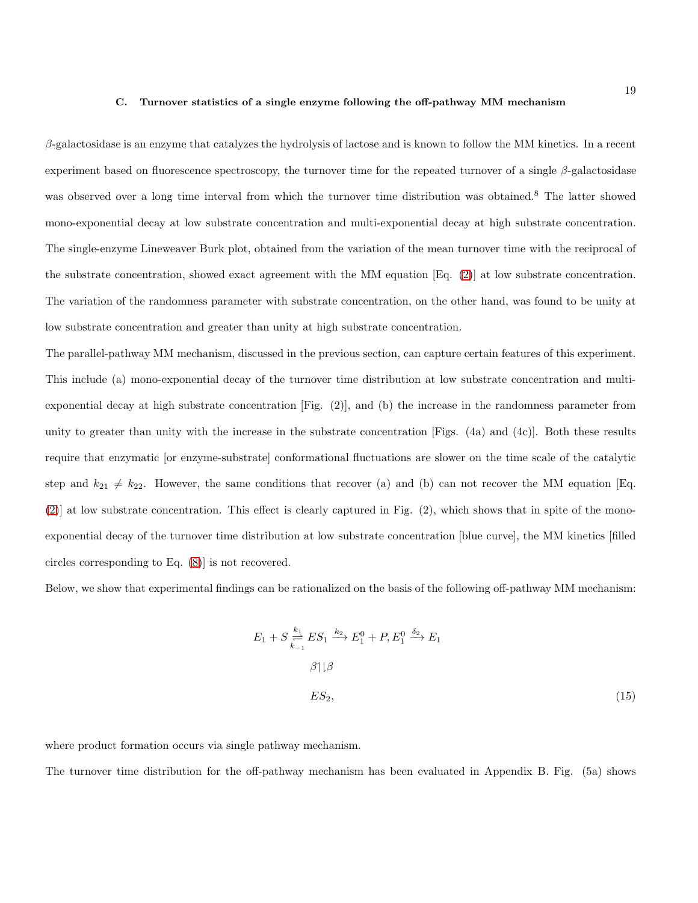#### C. Turnover statistics of a single enzyme following the off-pathway MM mechanism

 $\beta$ -galactosidase is an enzyme that catalyzes the hydrolysis of lactose and is known to follow the MM kinetics. In a recent experiment based on fluorescence spectroscopy, the turnover time for the repeated turnover of a single  $\beta$ -galactosidase was observed over a long time interval from which the turnover time distribution was obtained.<sup>8</sup> The latter showed mono-exponential decay at low substrate concentration and multi-exponential decay at high substrate concentration. The single-enzyme Lineweaver Burk plot, obtained from the variation of the mean turnover time with the reciprocal of the substrate concentration, showed exact agreement with the MM equation [Eq. [\(2\)](#page-1-0)] at low substrate concentration. The variation of the randomness parameter with substrate concentration, on the other hand, was found to be unity at low substrate concentration and greater than unity at high substrate concentration.

The parallel-pathway MM mechanism, discussed in the previous section, can capture certain features of this experiment. This include (a) mono-exponential decay of the turnover time distribution at low substrate concentration and multiexponential decay at high substrate concentration [Fig. (2)], and (b) the increase in the randomness parameter from unity to greater than unity with the increase in the substrate concentration [Figs.  $(4a)$  and  $(4c)$ ]. Both these results require that enzymatic [or enzyme-substrate] conformational fluctuations are slower on the time scale of the catalytic step and  $k_{21} \neq k_{22}$ . However, the same conditions that recover (a) and (b) can not recover the MM equation [Eq. [\(2\)](#page-1-0)] at low substrate concentration. This effect is clearly captured in Fig. (2), which shows that in spite of the monoexponential decay of the turnover time distribution at low substrate concentration [blue curve], the MM kinetics [filled circles corresponding to Eq. [\(8\)](#page-7-1)] is not recovered.

Below, we show that experimental findings can be rationalized on the basis of the following off-pathway MM mechanism:

<span id="page-18-0"></span>
$$
E_1 + S \underset{k=1}{\overset{k_1}{\rightleftharpoons}} ES_1 \xrightarrow{k_2} E_1^0 + P, E_1^0 \xrightarrow{\delta_2} E_1
$$
  

$$
\beta \uparrow \downarrow \beta
$$
  

$$
ES_2,
$$
 (15)

where product formation occurs via single pathway mechanism.

The turnover time distribution for the off-pathway mechanism has been evaluated in Appendix B. Fig. (5a) shows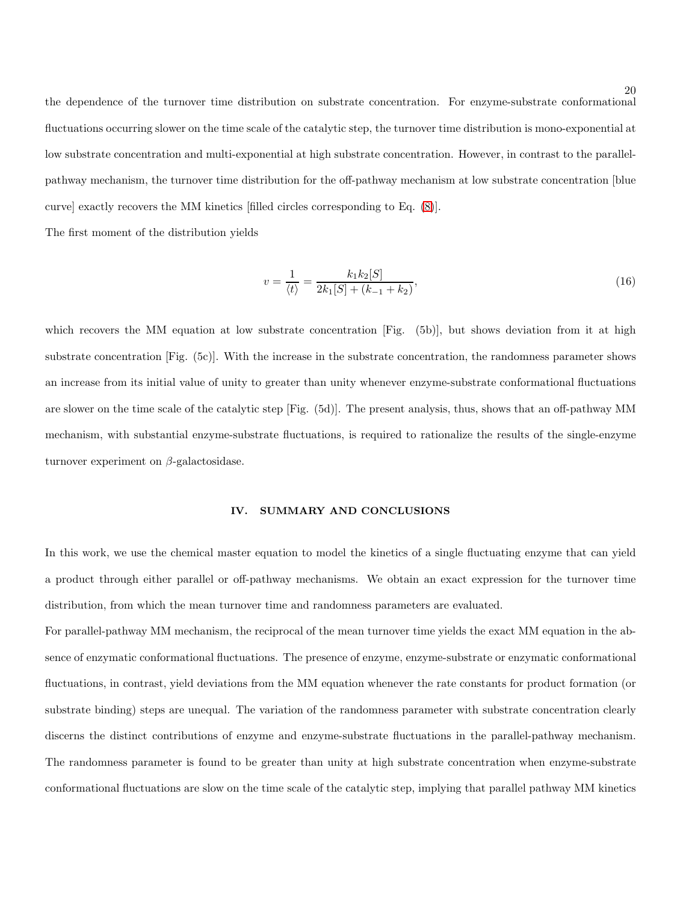the dependence of the turnover time distribution on substrate concentration. For enzyme-substrate conformational fluctuations occurring slower on the time scale of the catalytic step, the turnover time distribution is mono-exponential at low substrate concentration and multi-exponential at high substrate concentration. However, in contrast to the parallelpathway mechanism, the turnover time distribution for the off-pathway mechanism at low substrate concentration [blue curve] exactly recovers the MM kinetics [filled circles corresponding to Eq. [\(8\)](#page-7-1)].

The first moment of the distribution yields

<span id="page-19-0"></span>
$$
v = \frac{1}{\langle t \rangle} = \frac{k_1 k_2 [S]}{2k_1 [S] + (k_{-1} + k_2)},\tag{16}
$$

which recovers the MM equation at low substrate concentration [Fig.  $(5b)$ ], but shows deviation from it at high substrate concentration [Fig. (5c)]. With the increase in the substrate concentration, the randomness parameter shows an increase from its initial value of unity to greater than unity whenever enzyme-substrate conformational fluctuations are slower on the time scale of the catalytic step [Fig. (5d)]. The present analysis, thus, shows that an off-pathway MM mechanism, with substantial enzyme-substrate fluctuations, is required to rationalize the results of the single-enzyme turnover experiment on  $\beta$ -galactosidase.

## IV. SUMMARY AND CONCLUSIONS

In this work, we use the chemical master equation to model the kinetics of a single fluctuating enzyme that can yield a product through either parallel or off-pathway mechanisms. We obtain an exact expression for the turnover time distribution, from which the mean turnover time and randomness parameters are evaluated.

For parallel-pathway MM mechanism, the reciprocal of the mean turnover time yields the exact MM equation in the absence of enzymatic conformational fluctuations. The presence of enzyme, enzyme-substrate or enzymatic conformational fluctuations, in contrast, yield deviations from the MM equation whenever the rate constants for product formation (or substrate binding) steps are unequal. The variation of the randomness parameter with substrate concentration clearly discerns the distinct contributions of enzyme and enzyme-substrate fluctuations in the parallel-pathway mechanism. The randomness parameter is found to be greater than unity at high substrate concentration when enzyme-substrate conformational fluctuations are slow on the time scale of the catalytic step, implying that parallel pathway MM kinetics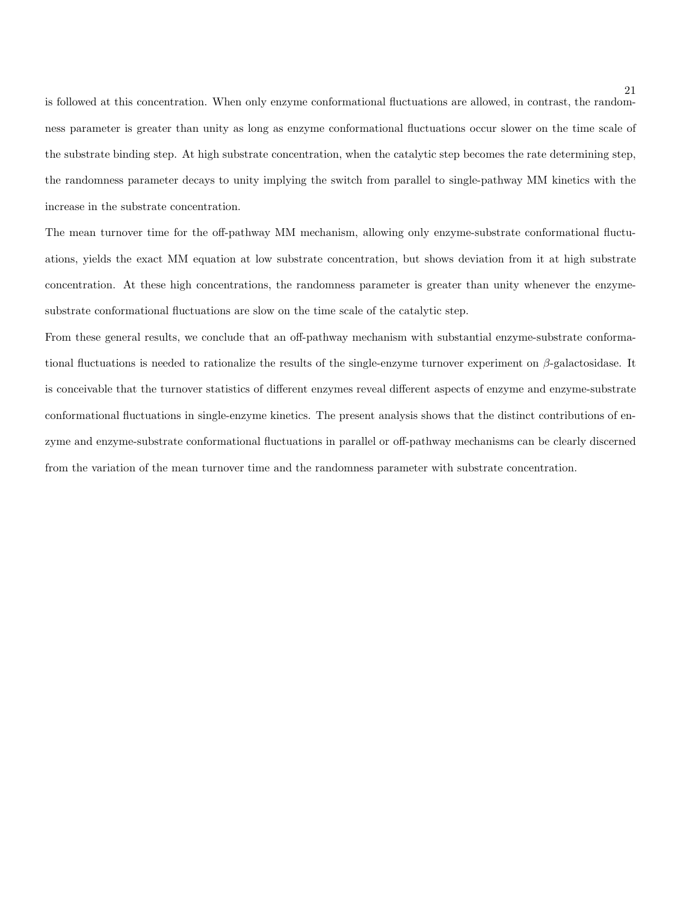is followed at this concentration. When only enzyme conformational fluctuations are allowed, in contrast, the randomness parameter is greater than unity as long as enzyme conformational fluctuations occur slower on the time scale of the substrate binding step. At high substrate concentration, when the catalytic step becomes the rate determining step, the randomness parameter decays to unity implying the switch from parallel to single-pathway MM kinetics with the increase in the substrate concentration.

The mean turnover time for the off-pathway MM mechanism, allowing only enzyme-substrate conformational fluctuations, yields the exact MM equation at low substrate concentration, but shows deviation from it at high substrate concentration. At these high concentrations, the randomness parameter is greater than unity whenever the enzymesubstrate conformational fluctuations are slow on the time scale of the catalytic step.

From these general results, we conclude that an off-pathway mechanism with substantial enzyme-substrate conformational fluctuations is needed to rationalize the results of the single-enzyme turnover experiment on  $\beta$ -galactosidase. It is conceivable that the turnover statistics of different enzymes reveal different aspects of enzyme and enzyme-substrate conformational fluctuations in single-enzyme kinetics. The present analysis shows that the distinct contributions of enzyme and enzyme-substrate conformational fluctuations in parallel or off-pathway mechanisms can be clearly discerned from the variation of the mean turnover time and the randomness parameter with substrate concentration.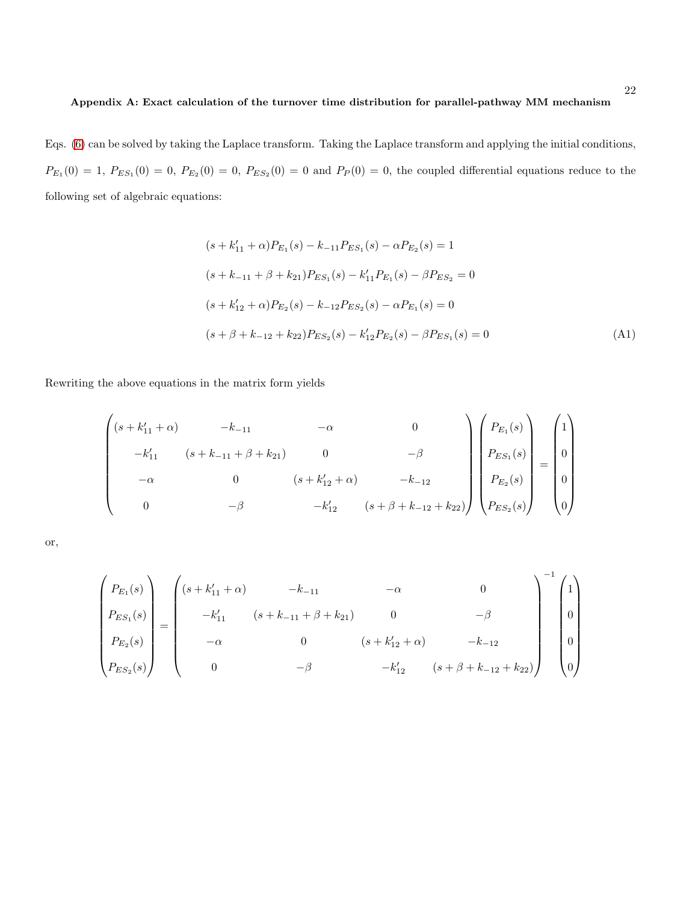## Appendix A: Exact calculation of the turnover time distribution for parallel-pathway MM mechanism

Eqs. [\(6\)](#page-6-0) can be solved by taking the Laplace transform. Taking the Laplace transform and applying the initial conditions,  $P_{E_1}(0) = 1, P_{E S_1}(0) = 0, P_{E_2}(0) = 0, P_{E S_2}(0) = 0$  and  $P_P(0) = 0$ , the coupled differential equations reduce to the following set of algebraic equations:

$$
(s + k'_{11} + \alpha)P_{E_1}(s) - k_{-11}P_{ES_1}(s) - \alpha P_{E_2}(s) = 1
$$
  
\n
$$
(s + k_{-11} + \beta + k_{21})P_{ES_1}(s) - k'_{11}P_{E_1}(s) - \beta P_{ES_2} = 0
$$
  
\n
$$
(s + k'_{12} + \alpha)P_{E_2}(s) - k_{-12}P_{ES_2}(s) - \alpha P_{E_1}(s) = 0
$$
  
\n
$$
(s + \beta + k_{-12} + k_{22})P_{ES_2}(s) - k'_{12}P_{E_2}(s) - \beta P_{ES_1}(s) = 0
$$
\n(A1)

Rewriting the above equations in the matrix form yields

$$
\begin{pmatrix}\n(s + k'_{11} + \alpha) & -k_{-11} & -\alpha & 0 \\
-k'_{11} & (s + k_{-11} + \beta + k_{21}) & 0 & -\beta \\
-\alpha & 0 & (s + k'_{12} + \alpha) & -k_{-12} \\
0 & -\beta & -k'_{12} & (s + \beta + k_{-12} + k_{22})\n\end{pmatrix}\n\begin{pmatrix}\nP_{E_1}(s) \\
P_{E_2}(s) \\
P_{E_3}(s)\n\end{pmatrix} = \begin{pmatrix}\n1 \\
0 \\
0 \\
0\n\end{pmatrix}
$$

or,

$$
\begin{pmatrix}\nP_{E_1}(s) \\
P_{E S_1}(s) \\
P_{E S_2}(s) \\
P_{E S_2}(s)\n\end{pmatrix} = \begin{pmatrix}\n(s + k'_{11} + \alpha) & -k_{-11} & -\alpha & 0 \\
-k'_{11} & (s + k_{-11} + \beta + k_{21}) & 0 & -\beta \\
-\alpha & 0 & (s + k'_{12} + \alpha) & -k_{-12} \\
0 & -\beta & -k'_{12} & (s + \beta + k_{-12} + k_{22})\n\end{pmatrix}^{-1} \begin{pmatrix}\n1 \\
0 \\
0 \\
0 \\
0\n\end{pmatrix}
$$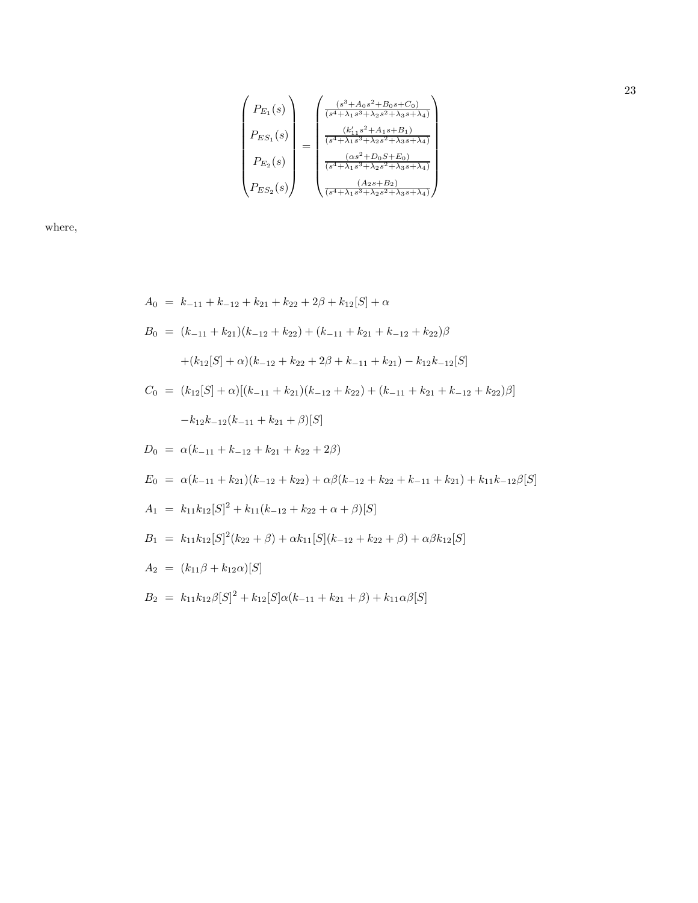$$
\begin{pmatrix}\nP_{E_1}(s) \\
P_{E_2}(s) \\
P_{E_3}(s) \\
P_{E_4}(s)\n\end{pmatrix} = \begin{pmatrix}\n\frac{(s^3 + A_0 s^2 + B_0 s + C_0)}{(s^4 + \lambda_1 s^3 + \lambda_2 s^2 + \lambda_3 s + \lambda_4)} \\
\frac{(k'_{11} s^2 + A_1 s + B_1)}{(s^4 + \lambda_1 s^3 + \lambda_2 s^2 + \lambda_3 s + \lambda_4)} \\
\frac{(as^2 + D_0 s + E_0)}{(s^4 + \lambda_1 s^3 + \lambda_2 s^2 + \lambda_3 s + \lambda_4)} \\
\frac{(As + B_2)}{(s^4 + \lambda_1 s^3 + \lambda_2 s^2 + \lambda_3 s + \lambda_4)}\n\end{pmatrix}
$$

where,

$$
A_0 = k_{-11} + k_{-12} + k_{21} + k_{22} + 2\beta + k_{12}[S] + \alpha
$$
  
\n
$$
B_0 = (k_{-11} + k_{21})(k_{-12} + k_{22}) + (k_{-11} + k_{21} + k_{-12} + k_{22})\beta
$$
  
\n
$$
+ (k_{12}[S] + \alpha)(k_{-12} + k_{22} + 2\beta + k_{-11} + k_{21}) - k_{12}k_{-12}[S]
$$
  
\n
$$
C_0 = (k_{12}[S] + \alpha)[(k_{-11} + k_{21})(k_{-12} + k_{22}) + (k_{-11} + k_{21} + k_{-12} + k_{22})\beta]
$$
  
\n
$$
-k_{12}k_{-12}(k_{-11} + k_{21} + \beta)[S]
$$
  
\n
$$
D_0 = \alpha(k_{-11} + k_{-12} + k_{21} + k_{22} + 2\beta)
$$
  
\n
$$
E_0 = \alpha(k_{-11} + k_{21})(k_{-12} + k_{22}) + \alpha\beta(k_{-12} + k_{22} + k_{-11} + k_{21}) + k_{11}k_{-12}\beta[S]
$$
  
\n
$$
A_1 = k_{11}k_{12}[S]^2 + k_{11}(k_{-12} + k_{22} + \alpha + \beta)[S]
$$
  
\n
$$
B_1 = k_{11}k_{12}[S]^2(k_{22} + \beta) + \alpha k_{11}[S](k_{-12} + k_{22} + \beta) + \alpha\beta k_{12}[S]
$$
  
\n
$$
A_2 = (k_{11}\beta + k_{12}\alpha)[S]
$$
  
\n
$$
B_2 = k_{11}k_{12}\beta[S]^2 + k_{12}[S]\alpha(k_{-11} + k_{21} + \beta) + k_{11}\alpha\beta[S]
$$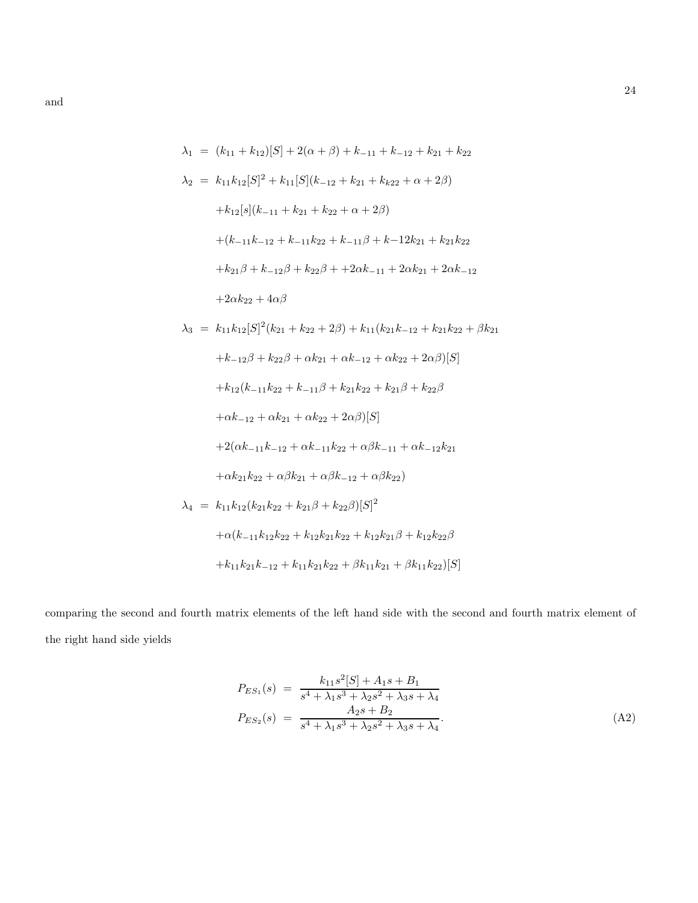$$
\lambda_1 = (k_{11} + k_{12})[S] + 2(\alpha + \beta) + k_{-11} + k_{-12} + k_{21} + k_{22}
$$
  
\n
$$
\lambda_2 = k_{11}k_{12}[S]^2 + k_{11}[S](k_{-12} + k_{21} + k_{k22} + \alpha + 2\beta)
$$
  
\n
$$
+k_{12}[s](k_{-11} + k_{21} + k_{22} + \alpha + 2\beta)
$$
  
\n
$$
+ (k_{-11}k_{-12} + k_{-11}k_{22} + k_{-11}\beta + k_{-12}k_{21} + k_{21}k_{22}
$$
  
\n
$$
+k_{21}\beta + k_{-12}\beta + k_{22}\beta + 2\alpha k_{-11} + 2\alpha k_{21} + 2\alpha k_{-12}
$$
  
\n
$$
+2\alpha k_{22} + 4\alpha\beta
$$
  
\n
$$
\lambda_3 = k_{11}k_{12}[S]^2(k_{21} + k_{22} + 2\beta) + k_{11}(k_{21}k_{-12} + k_{21}k_{22} + \beta k_{21}
$$
  
\n
$$
+k_{-12}\beta + k_{22}\beta + \alpha k_{21} + \alpha k_{-12} + \alpha k_{22} + 2\alpha\beta)[S]
$$
  
\n
$$
+k_{12}(k_{-11}k_{22} + k_{-11}\beta + k_{21}k_{22} + k_{21}\beta + k_{22}\beta
$$
  
\n
$$
+ \alpha k_{-12} + \alpha k_{21} + \alpha k_{22} + 2\alpha\beta)[S]
$$
  
\n
$$
+2(\alpha k_{-11}k_{-12} + \alpha k_{-11}k_{22} + \alpha\beta k_{-11} + \alpha k_{-12}k_{21}
$$
  
\n
$$
+ \alpha k_{21}k_{22} + \alpha\beta k_{21} + \alpha\beta k_{-12} + \alpha\beta k_{22})
$$
  
\n
$$
\lambda_4 = k_{11}k_{12}(k_{21}k_{22} + k_{21}\beta + k_{22}\beta)[S]^2
$$
  
\n $$ 

comparing the second and fourth matrix elements of the left hand side with the second and fourth matrix element of the right hand side yields

<span id="page-23-0"></span>
$$
P_{ES_1}(s) = \frac{k_{11}s^2[S] + A_1s + B_1}{s^4 + \lambda_1s^3 + \lambda_2s^2 + \lambda_3s + \lambda_4}
$$
  
\n
$$
P_{ES_2}(s) = \frac{A_2s + B_2}{s^4 + \lambda_1s^3 + \lambda_2s^2 + \lambda_3s + \lambda_4}.
$$
\n(A2)

and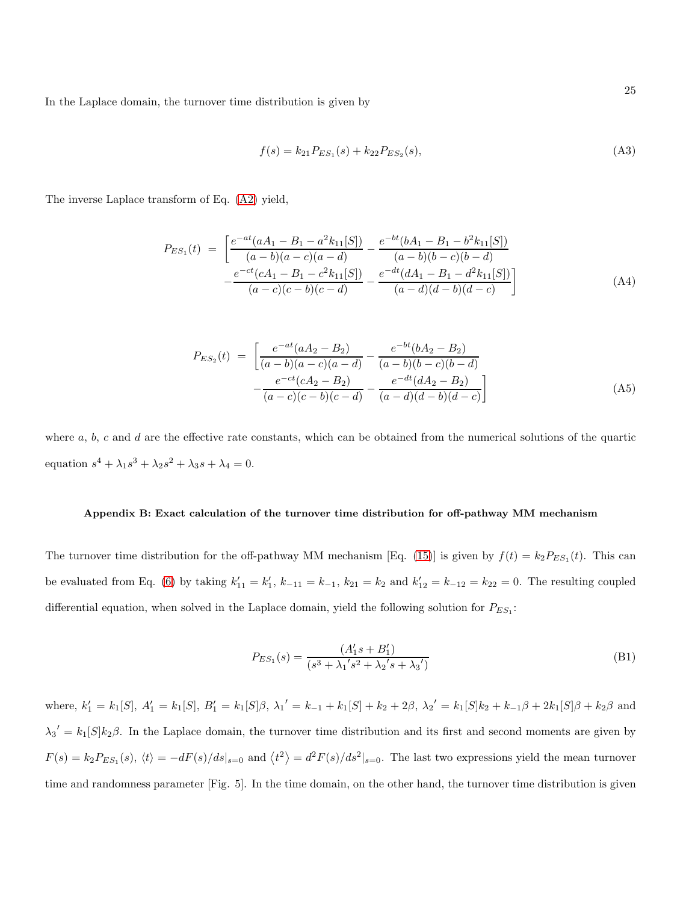In the Laplace domain, the turnover time distribution is given by

$$
f(s) = k_{21} P_{ES_1}(s) + k_{22} P_{ES_2}(s),
$$
\n(A3)

The inverse Laplace transform of Eq. [\(A2\)](#page-23-0) yield,

<span id="page-24-0"></span>
$$
P_{ES_1}(t) = \left[ \frac{e^{-at}(aA_1 - B_1 - a^2k_{11}[S])}{(a - b)(a - c)(a - d)} - \frac{e^{-bt}(bA_1 - B_1 - b^2k_{11}[S])}{(a - b)(b - c)(b - d)} - \frac{e^{-ct}(cA_1 - B_1 - c^2k_{11}[S])}{(a - c)(c - b)(c - d)} - \frac{e^{-dt}(dA_1 - B_1 - d^2k_{11}[S])}{(a - d)(d - b)(d - c)} \right]
$$
(A4)

<span id="page-24-1"></span>
$$
P_{ES_2}(t) = \left[ \frac{e^{-at}(aA_2 - B_2)}{(a - b)(a - c)(a - d)} - \frac{e^{-bt}(bA_2 - B_2)}{(a - b)(b - c)(b - d)} - \frac{e^{-ct}(cA_2 - B_2)}{(a - c)(c - b)(c - d)} - \frac{e^{-dt}(dA_2 - B_2)}{(a - d)(d - b)(d - c)} \right]
$$
(A5)

where  $a, b, c$  and  $d$  are the effective rate constants, which can be obtained from the numerical solutions of the quartic equation  $s^4 + \lambda_1 s^3 + \lambda_2 s^2 + \lambda_3 s + \lambda_4 = 0.$ 

## Appendix B: Exact calculation of the turnover time distribution for off-pathway MM mechanism

The turnover time distribution for the off-pathway MM mechanism [Eq. [\(15\)](#page-18-0)] is given by  $f(t) = k_2 P_{ES_1}(t)$ . This can be evaluated from Eq. [\(6\)](#page-6-0) by taking  $k'_{11} = k'_1$ ,  $k_{-11} = k_{-1}$ ,  $k_{21} = k_2$  and  $k'_{12} = k_{-12} = k_{22} = 0$ . The resulting coupled differential equation, when solved in the Laplace domain, yield the following solution for  $P_{ES_1}$ :

$$
P_{ES_1}(s) = \frac{(A'_1 s + B'_1)}{(s^3 + \lambda_1's^2 + \lambda_2's + \lambda_3')} \tag{B1}
$$

where,  $k'_1 = k_1[S], A'_1 = k_1[S], B'_1 = k_1[S]\beta, \lambda_1' = k_{-1} + k_1[S] + k_2 + 2\beta, \lambda_2' = k_1[S]k_2 + k_{-1}\beta + 2k_1[S]\beta + k_2\beta$  and  $\lambda_3' = k_1[S]k_2\beta$ . In the Laplace domain, the turnover time distribution and its first and second moments are given by  $F(s) = k_2 P_{ES_1}(s), \langle t \rangle = -dF(s)/ds|_{s=0}$  and  $\langle t^2 \rangle = d^2F(s)/ds^2|_{s=0}$ . The last two expressions yield the mean turnover time and randomness parameter [Fig. 5]. In the time domain, on the other hand, the turnover time distribution is given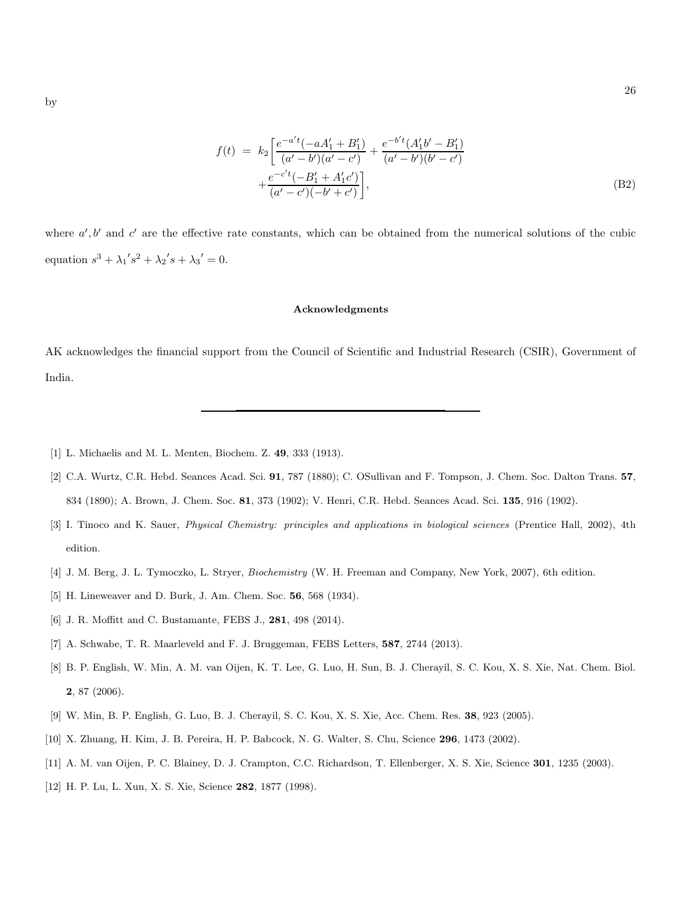$$
f(t) = k_2 \left[ \frac{e^{-a't}(-aA'_1 + B'_1)}{(a'-b')(a'-c')} + \frac{e^{-b't}(A'_1b'-B'_1)}{(a'-b')(b'-c')} + \frac{e^{-c't}(-B'_1 + A'_1c')}{(a'-c')(-b'+c')} \right],
$$
\n(B2)

where  $a', b'$  and  $c'$  are the effective rate constants, which can be obtained from the numerical solutions of the cubic equation  $s^3 + {\lambda_1}'s^2 + {\lambda_2}'s + {\lambda_3}' = 0.$ 

## Acknowledgments

AK acknowledges the financial support from the Council of Scientific and Industrial Research (CSIR), Government of India.

- [1] L. Michaelis and M. L. Menten, Biochem. Z. 49, 333 (1913).
- [2] C.A. Wurtz, C.R. Hebd. Seances Acad. Sci. 91, 787 (1880); C. OSullivan and F. Tompson, J. Chem. Soc. Dalton Trans. 57, 834 (1890); A. Brown, J. Chem. Soc. 81, 373 (1902); V. Henri, C.R. Hebd. Seances Acad. Sci. 135, 916 (1902).
- [3] I. Tinoco and K. Sauer, *Physical Chemistry: principles and applications in biological sciences* (Prentice Hall, 2002), 4th edition.
- [4] J. M. Berg, J. L. Tymoczko, L. Stryer, *Biochemistry* (W. H. Freeman and Company, New York, 2007), 6th edition.
- [5] H. Lineweaver and D. Burk, J. Am. Chem. Soc. 56, 568 (1934).
- [6] J. R. Moffitt and C. Bustamante, FEBS J., 281, 498 (2014).
- [7] A. Schwabe, T. R. Maarleveld and F. J. Bruggeman, FEBS Letters, 587, 2744 (2013).
- [8] B. P. English, W. Min, A. M. van Oijen, K. T. Lee, G. Luo, H. Sun, B. J. Cherayil, S. C. Kou, X. S. Xie, Nat. Chem. Biol. 2, 87 (2006).
- [9] W. Min, B. P. English, G. Luo, B. J. Cherayil, S. C. Kou, X. S. Xie, Acc. Chem. Res. 38, 923 (2005).
- [10] X. Zhuang, H. Kim, J. B. Pereira, H. P. Babcock, N. G. Walter, S. Chu, Science 296, 1473 (2002).
- [11] A. M. van Oijen, P. C. Blainey, D. J. Crampton, C.C. Richardson, T. Ellenberger, X. S. Xie, Science 301, 1235 (2003).
- [12] H. P. Lu, L. Xun, X. S. Xie, Science 282, 1877 (1998).